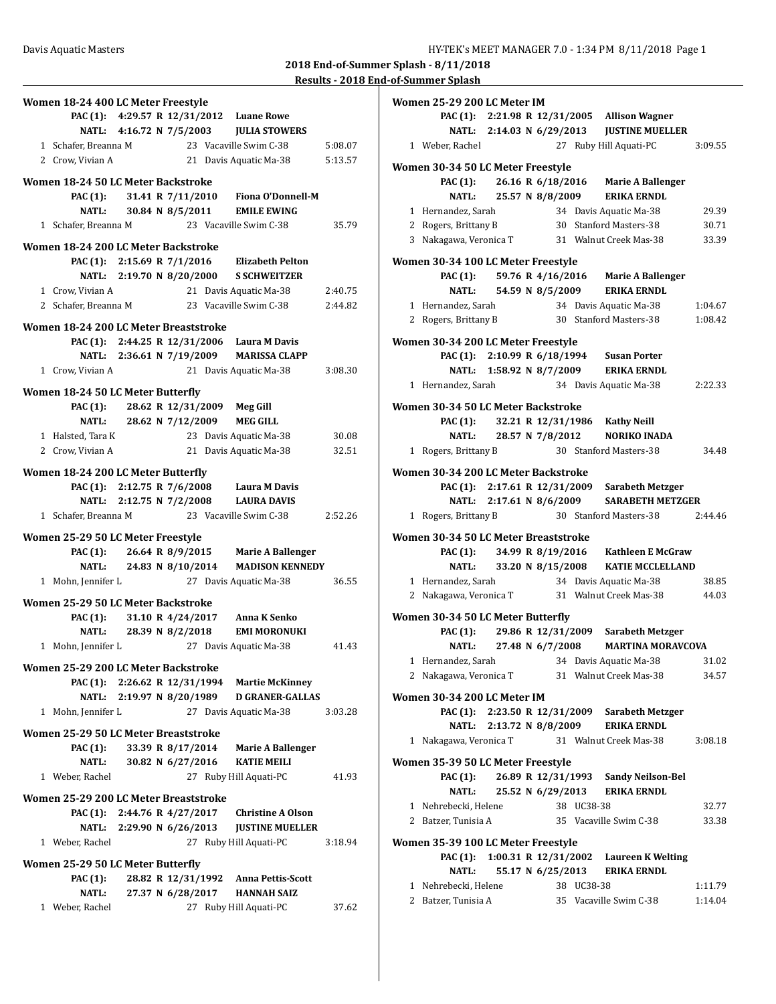| Women 18-24 400 LC Meter Freestyle                        |                                         |
|-----------------------------------------------------------|-----------------------------------------|
| PAC (1): 4:29.57 R 12/31/2012 Luane Rowe                  |                                         |
| NATL: 4:16.72 N 7/5/2003                                  | <b>JULIA STOWERS</b>                    |
| 1 Schafer, Breanna M                                      | 23 Vacaville Swim C-38<br>5:08.07       |
| 2 Crow, Vivian A                                          | 21 Davis Aquatic Ma-38<br>5:13.57       |
| Women 18-24 50 LC Meter Backstroke                        |                                         |
| PAC (1): 31.41 R 7/11/2010                                | <b>Fiona O'Donnell-M</b>                |
| NATL: 30.84 N 8/5/2011                                    | <b>EMILE EWING</b>                      |
| 1 Schafer. Breanna M                                      | 23 Vacaville Swim C-38<br>35.79         |
|                                                           |                                         |
| Women 18-24 200 LC Meter Backstroke                       |                                         |
| PAC (1): 2:15.69 R 7/1/2016 Elizabeth Pelton              |                                         |
| NATL: 2:19.70 N 8/20/2000                                 | <b>S SCHWEITZER</b>                     |
| 1 Crow, Vivian A                                          | 21 Davis Aquatic Ma-38<br>2:40.75       |
| 2 Schafer, Breanna M 23 Vacaville Swim C-38               | 2:44.82                                 |
| Women 18-24 200 LC Meter Breaststroke                     |                                         |
| PAC (1): 2:44.25 R 12/31/2006 Laura M Davis               |                                         |
|                                                           | NATL: 2:36.61 N 7/19/2009 MARISSA CLAPP |
| 1 Crow. Vivian A                                          | 21 Davis Aquatic Ma-38<br>3:08.30       |
|                                                           |                                         |
| Women 18-24 50 LC Meter Butterfly                         |                                         |
| PAC (1): 28.62 R 12/31/2009 Meg Gill<br>28.62 N 7/12/2009 |                                         |
| NATL:                                                     | <b>MEG GILL</b>                         |
| 1 Halsted, Tara K                                         | 23 Davis Aquatic Ma-38<br>30.08         |
| 2 Crow, Vivian A                                          | 21 Davis Aquatic Ma-38<br>32.51         |
| Women 18-24 200 LC Meter Butterfly                        |                                         |
| PAC (1): 2:12.75 R 7/6/2008 Laura M Davis                 |                                         |
| NATL: 2:12.75 N 7/2/2008                                  | <b>LAURA DAVIS</b>                      |
| 1 Schafer, Breanna M                                      | 23 Vacaville Swim C-38<br>2:52.26       |
| Women 25-29 50 LC Meter Freestyle                         |                                         |
| PAC (1): $26.64 \text{ R } 8/9/2015$                      | <b>Marie A Ballenger</b>                |
| 24.83 N 8/10/2014<br>NATL:                                | <b>MADISON KENNEDY</b>                  |
| 1 Mohn, Jennifer L                                        | 27 Davis Aquatic Ma-38<br>36.55         |
|                                                           |                                         |
| Women 25-29 50 LC Meter Backstroke                        |                                         |
| PAC (1): 31.10 R 4/24/2017                                | Anna K Senko                            |
| NATL: 28.39 N 8/2/2018                                    | <b>EMI MORONUKI</b>                     |
| 1 Mohn, Jennifer L                                        | 27 Davis Aquatic Ma-38<br>41.43         |
| Women 25-29 200 LC Meter Backstroke                       |                                         |
| PAC (1): 2:26.62 R 12/31/1994                             | <b>Martie McKinney</b>                  |
| 2:19.97 N 8/20/1989<br>NATL:                              | <b>D GRANER-GALLAS</b>                  |
| 1 Mohn, Jennifer L                                        | 27 Davis Aquatic Ma-38<br>3:03.28       |
| Women 25-29 50 LC Meter Breaststroke                      |                                         |
| 33.39 R 8/17/2014<br><b>PAC (1):</b>                      | <b>Marie A Ballenger</b>                |
| 30.82 N 6/27/2016<br>NATL:                                | <b>KATIE MEILI</b>                      |
| 1 Weber, Rachel                                           | 27 Ruby Hill Aquati-PC<br>41.93         |
|                                                           |                                         |
| Women 25-29 200 LC Meter Breaststroke                     |                                         |
| 2:44.76 R 4/27/2017<br>PAC (1):                           | <b>Christine A Olson</b>                |
| 2:29.90 N 6/26/2013<br><b>NATL:</b>                       | <b>JUSTINE MUELLER</b>                  |
| 1 Weber, Rachel                                           | 27 Ruby Hill Aquati-PC<br>3:18.94       |
| Women 25-29 50 LC Meter Butterfly                         |                                         |
| 28.82 R 12/31/1992<br><b>PAC</b> (1):                     | <b>Anna Pettis-Scott</b>                |
| 27.37 N 6/28/2017<br><b>NATL:</b>                         | <b>HANNAH SAIZ</b>                      |
| 1 Weber, Rachel                                           | 27 Ruby Hill Aquati-PC<br>37.62         |
|                                                           |                                         |

| Women 25-29 200 LC Meter IM          |                          |  |            |                                                       |         |
|--------------------------------------|--------------------------|--|------------|-------------------------------------------------------|---------|
|                                      |                          |  |            | PAC (1): 2:21.98 R 12/31/2005 Allison Wagner          |         |
| NATL:                                |                          |  |            | 2:14.03 N 6/29/2013 JUSTINE MUELLER                   |         |
| 1 Weber, Rachel                      |                          |  |            | 27 Ruby Hill Aquati-PC                                | 3:09.55 |
|                                      |                          |  |            |                                                       |         |
| Women 30-34 50 LC Meter Freestyle    |                          |  |            |                                                       |         |
| PAC (1):                             |                          |  |            | 26.16 R 6/18/2016 Marie A Ballenger                   |         |
|                                      | NATL: 25.57 N 8/8/2009   |  |            | <b>ERIKA ERNDL</b>                                    |         |
| 1 Hernandez, Sarah                   |                          |  |            | 34 Davis Aquatic Ma-38                                | 29.39   |
| 2 Rogers, Brittany B                 |                          |  |            | 30 Stanford Masters-38                                | 30.71   |
| 3 Nakagawa, Veronica T               |                          |  |            | 31 Walnut Creek Mas-38                                | 33.39   |
| Women 30-34 100 LC Meter Freestyle   |                          |  |            |                                                       |         |
| <b>PAC (1):</b>                      |                          |  |            | 59.76 R 4/16/2016 Marie A Ballenger                   |         |
| NATL:                                |                          |  |            | 54.59 N 8/5/2009 ERIKA ERNDL                          |         |
| 1 Hernandez, Sarah                   |                          |  |            | 34 Davis Aquatic Ma-38                                | 1:04.67 |
| 2 Rogers, Brittany B                 |                          |  |            | 30 Stanford Masters-38                                | 1:08.42 |
|                                      |                          |  |            |                                                       |         |
| Women 30-34 200 LC Meter Freestyle   |                          |  |            |                                                       |         |
|                                      |                          |  |            | PAC (1): 2:10.99 R 6/18/1994 Susan Porter             |         |
|                                      |                          |  |            | NATL: 1:58.92 N 8/7/2009 ERIKA ERNDL                  |         |
| 1 Hernandez, Sarah                   |                          |  |            | 34 Davis Aquatic Ma-38                                | 2:22.33 |
| Women 30-34 50 LC Meter Backstroke   |                          |  |            |                                                       |         |
| <b>PAC (1):</b>                      |                          |  |            |                                                       |         |
|                                      |                          |  |            | 32.21 R 12/31/1986 Kathy Neill                        |         |
| <b>NATL:</b>                         | 28.57 N 7/8/2012         |  |            | <b>NORIKO INADA</b>                                   |         |
| 1 Rogers, Brittany B                 |                          |  |            | 30 Stanford Masters-38                                | 34.48   |
| Women 30-34 200 LC Meter Backstroke  |                          |  |            |                                                       |         |
|                                      |                          |  |            | PAC (1): 2:17.61 R 12/31/2009 Sarabeth Metzger        |         |
|                                      | NATL: 2:17.61 N 8/6/2009 |  |            | <b>SARABETH METZGER</b>                               |         |
| 1 Rogers, Brittany B                 |                          |  |            | 30 Stanford Masters-38                                | 2:44.46 |
|                                      |                          |  |            |                                                       |         |
| Women 30-34 50 LC Meter Breaststroke |                          |  |            |                                                       |         |
|                                      |                          |  |            | PAC (1): 34.99 R 8/19/2016 Kathleen E McGraw          |         |
|                                      |                          |  |            | NATL: 33.20 N 8/15/2008 KATIE MCCLELLAND              |         |
| 1 Hernandez, Sarah                   |                          |  |            | 34 Davis Aquatic Ma-38                                | 38.85   |
|                                      |                          |  |            | 2 Nakagawa, Veronica T 31 Walnut Creek Mas-38         | 44.03   |
|                                      |                          |  |            |                                                       |         |
| Women 30-34 50 LC Meter Butterfly    |                          |  |            |                                                       |         |
|                                      |                          |  |            | PAC (1): 29.86 R 12/31/2009 Sarabeth Metzger          |         |
|                                      |                          |  |            | NATL: 27.48 N 6/7/2008 MARTINA MORAVCOVA              |         |
|                                      |                          |  |            | 1 Hernandez, Sarah 34 Davis Aquatic Ma-38             | 31.02   |
|                                      |                          |  |            | 2 Nakagawa, Veronica T 31 Walnut Creek Mas-38         | 34.57   |
| Women 30-34 200 LC Meter IM          |                          |  |            |                                                       |         |
|                                      |                          |  |            | PAC (1): 2:23.50 R 12/31/2009 Sarabeth Metzger        |         |
|                                      |                          |  |            |                                                       |         |
|                                      |                          |  |            | NATL: 2:13.72 N 8/8/2009 ERIKA ERNDL                  |         |
|                                      |                          |  |            | 1 Nakagawa, Veronica T 31 Walnut Creek Mas-38 3:08.18 |         |
| Women 35-39 50 LC Meter Freestyle    |                          |  |            |                                                       |         |
|                                      |                          |  |            | PAC (1): 26.89 R 12/31/1993 Sandy Neilson-Bel         |         |
|                                      |                          |  |            | NATL: 25.52 N 6/29/2013 ERIKA ERNDL                   |         |
| 1 Nehrebecki, Helene                 |                          |  | 38 UC38-38 |                                                       | 32.77   |
| 2 Batzer, Tunisia A                  |                          |  |            | 35 Vacaville Swim C-38                                | 33.38   |
|                                      |                          |  |            |                                                       |         |
| Women 35-39 100 LC Meter Freestyle   |                          |  |            |                                                       |         |
|                                      |                          |  |            | PAC (1): 1:00.31 R 12/31/2002 Laureen K Welting       |         |
| <b>NATL:</b>                         |                          |  |            | 55.17 N 6/25/2013 ERIKA ERNDL                         |         |
| 1 Nehrebecki, Helene                 |                          |  | 38 UC38-38 |                                                       | 1:11.79 |
| 2 Batzer, Tunisia A                  |                          |  |            | 35 Vacaville Swim C-38                                | 1:14.04 |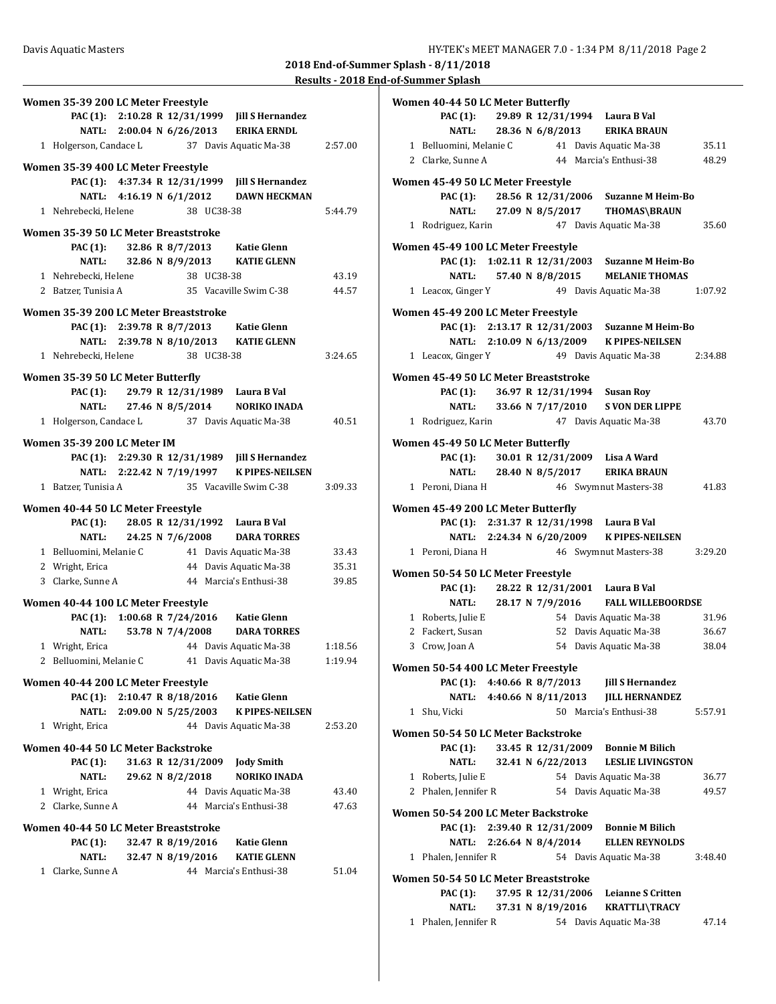| Women 35-39 200 LC Meter Freestyle                           |         |
|--------------------------------------------------------------|---------|
| PAC (1): 2:10.28 R 12/31/1999 Jill S Hernandez               |         |
| NATL: 2:00.04 N 6/26/2013<br><b>ERIKA ERNDL</b>              |         |
| 1 Holgerson, Candace L<br>37 Davis Aquatic Ma-38             | 2:57.00 |
| Women 35-39 400 LC Meter Freestyle                           |         |
| PAC (1): 4:37.34 R 12/31/1999<br><b>Jill S Hernandez</b>     |         |
| NATL: 4:16.19 N 6/1/2012<br><b>DAWN HECKMAN</b>              |         |
| 1 Nehrebecki, Helene<br>38 UC38-38                           | 5:44.79 |
|                                                              |         |
| Women 35-39 50 LC Meter Breaststroke                         |         |
| <b>PAC (1):</b><br>32.86 R 8/7/2013<br>Katie Glenn           |         |
| NATL: 32.86 N 8/9/2013 KATIE GLENN                           |         |
| 1 Nehrebecki, Helene<br>38 UC38-38                           | 43.19   |
| 35 Vacaville Swim C-38<br>2 Batzer, Tunisia A                | 44.57   |
| Women 35-39 200 LC Meter Breaststroke                        |         |
| PAC (1): 2:39.78 R 8/7/2013<br>Katie Glenn                   |         |
| NATL: 2:39.78 N 8/10/2013<br><b>KATIE GLENN</b>              |         |
| 1 Nehrebecki, Helene<br>38 UC38-38                           | 3:24.65 |
|                                                              |         |
| Women 35-39 50 LC Meter Butterfly                            |         |
| PAC (1): 29.79 R 12/31/1989 Laura B Val                      |         |
| NATL: 27.46 N 8/5/2014<br><b>NORIKO INADA</b>                |         |
| 1 Holgerson, Candace L 37 Davis Aquatic Ma-38                | 40.51   |
| Women 35-39 200 LC Meter IM                                  |         |
| PAC (1): 2:29.30 R 12/31/1989 Jill S Hernandez               |         |
| NATL: 2:22.42 N 7/19/1997 K PIPES-NEILSEN                    |         |
| 35 Vacaville Swim C-38                                       |         |
| 1 Batzer, Tunisia A                                          | 3:09.33 |
| Women 40-44 50 LC Meter Freestyle                            |         |
| 28.05 R 12/31/1992 Laura B Val<br><b>PAC</b> (1):            |         |
| 24.25 N 7/6/2008<br><b>NATL:</b><br><b>DARA TORRES</b>       |         |
| 1 Belluomini, Melanie C<br>41 Davis Aquatic Ma-38            | 33.43   |
| 44 Davis Aquatic Ma-38<br>2 Wright, Erica                    | 35.31   |
| 3 Clarke, Sunne A<br>44 Marcia's Enthusi-38                  | 39.85   |
|                                                              |         |
| Women 40-44 100 LC Meter Freestyle                           |         |
| PAC (1): 1:00.68 R 7/24/2016<br>Katie Glenn                  |         |
| 53.78 N 7/4/2008<br>NATL:<br><b>DARA TORRES</b>              |         |
| 1 Wright, Erica<br>44 Davis Aquatic Ma-38                    | 1:18.56 |
| 2 Belluomini, Melanie C<br>41 Davis Aquatic Ma-38            | 1:19.94 |
| Women 40-44 200 LC Meter Freestyle                           |         |
| <b>PAC</b> (1):<br>2:10.47 R 8/18/2016<br><b>Katie Glenn</b> |         |
| NATL: 2:09.00 N 5/25/2003<br><b>K PIPES-NEILSEN</b>          |         |
| 1 Wright, Erica<br>44 Davis Aquatic Ma-38                    | 2:53.20 |
|                                                              |         |
| Women 40-44 50 LC Meter Backstroke                           |         |
| PAC (1):<br>31.63 R 12/31/2009<br><b>Jody Smith</b>          |         |
| 29.62 N 8/2/2018<br><b>NATL:</b><br><b>NORIKO INADA</b>      |         |
| 1 Wright, Erica<br>44 Davis Aquatic Ma-38                    | 43.40   |
| 44 Marcia's Enthusi-38<br>2 Clarke, Sunne A                  | 47.63   |
| Women 40-44 50 LC Meter Breaststroke                         |         |
| <b>PAC</b> (1):<br>32.47 R 8/19/2016<br><b>Katie Glenn</b>   |         |
| <b>NATL:</b><br>32.47 N 8/19/2016<br><b>KATIE GLENN</b>      |         |
| Clarke, Sunne A<br>44 Marcia's Enthusi-38<br>1               |         |
|                                                              |         |
|                                                              | 51.04   |
|                                                              |         |
|                                                              |         |
|                                                              |         |

| Women 40-44 50 LC Meter Butterfly    |                           |                    |                                                 |         |
|--------------------------------------|---------------------------|--------------------|-------------------------------------------------|---------|
| <b>PAC</b> (1):                      |                           |                    | 29.89 R 12/31/1994 Laura B Val                  |         |
| NATL:                                | 28.36 N 6/8/2013          |                    | <b>ERIKA BRAUN</b>                              |         |
| 1 Belluomini, Melanie C              |                           |                    | 41 Davis Aquatic Ma-38                          | 35.11   |
| 2 Clarke. Sunne A                    |                           |                    | 44 Marcia's Enthusi-38                          | 48.29   |
|                                      |                           |                    |                                                 |         |
| Women 45-49 50 LC Meter Freestyle    |                           |                    |                                                 |         |
|                                      |                           |                    | PAC (1): 28.56 R 12/31/2006 Suzanne M Heim-Bo   |         |
|                                      | NATL: 27.09 N 8/5/2017    |                    | THOMAS\BRAUN                                    |         |
| 1 Rodriguez, Karin                   |                           |                    | 47 Davis Aquatic Ma-38                          | 35.60   |
| Women 45-49 100 LC Meter Freestyle   |                           |                    |                                                 |         |
|                                      |                           |                    | PAC (1): 1:02.11 R 12/31/2003 Suzanne M Heim-Bo |         |
|                                      | NATL: 57.40 N 8/8/2015    |                    | <b>MELANIE THOMAS</b>                           |         |
| 1 Leacox, Ginger Y                   |                           |                    | 49 Davis Aquatic Ma-38                          | 1:07.92 |
|                                      |                           |                    |                                                 |         |
| Women 45-49 200 LC Meter Freestyle   |                           |                    |                                                 |         |
|                                      |                           |                    | PAC (1): 2:13.17 R 12/31/2003 Suzanne M Heim-Bo |         |
|                                      | NATL: 2:10.09 N 6/13/2009 |                    | <b>K PIPES-NEILSEN</b>                          |         |
| 1 Leacox, Ginger Y                   |                           |                    | 49 Davis Aquatic Ma-38                          | 2:34.88 |
| Women 45-49 50 LC Meter Breaststroke |                           |                    |                                                 |         |
|                                      |                           |                    |                                                 |         |
|                                      |                           |                    | PAC (1): 36.97 R 12/31/1994 Susan Roy           |         |
|                                      | NATL: 33.66 N 7/17/2010   |                    | <b>S VON DER LIPPE</b>                          |         |
| 1 Rodriguez, Karin                   |                           |                    | 47 Davis Aquatic Ma-38                          | 43.70   |
| Women 45-49 50 LC Meter Butterfly    |                           |                    |                                                 |         |
| <b>PAC (1):</b>                      |                           |                    | 30.01 R 12/31/2009 Lisa A Ward                  |         |
|                                      | NATL: 28.40 N 8/5/2017    |                    | ERIKA BRAUN                                     |         |
| 1 Peroni, Diana H                    |                           |                    | 46 Swymnut Masters-38                           | 41.83   |
|                                      |                           |                    |                                                 |         |
| Women 45-49 200 LC Meter Butterfly   |                           |                    |                                                 |         |
|                                      |                           |                    | PAC (1): 2:31.37 R 12/31/1998 Laura B Val       |         |
|                                      |                           |                    | NATL: 2:24.34 N 6/20/2009 K PIPES-NEILSEN       |         |
| 1 Peroni, Diana H                    |                           |                    | 46 Swymnut Masters-38                           | 3:29.20 |
| Women 50-54 50 LC Meter Freestyle    |                           |                    |                                                 |         |
| <b>PAC (1):</b>                      |                           |                    | 28.22 R 12/31/2001 Laura B Val                  |         |
| <b>NATL:</b>                         | 28.17 N 7/9/2016          |                    | <b>FALL WILLEBOORDSE</b>                        |         |
| 1 Roberts, Julie E                   |                           |                    | 54 Davis Aquatic Ma-38                          | 31.96   |
| 2 Fackert, Susan                     |                           |                    | 52 Davis Aquatic Ma-38                          | 36.67   |
|                                      |                           |                    |                                                 |         |
| 3 Crow, Joan A                       |                           |                    | 54 Davis Aquatic Ma-38                          | 38.04   |
| Women 50-54 400 LC Meter Freestyle   |                           |                    |                                                 |         |
| PAC (1):                             | 4:40.66 R 8/7/2013        |                    | <b>Jill S Hernandez</b>                         |         |
| <b>NATL:</b>                         | 4:40.66 N 8/11/2013       |                    | <b>JILL HERNANDEZ</b>                           |         |
| 1 Shu, Vicki                         |                           |                    | 50 Marcia's Enthusi-38                          | 5:57.91 |
|                                      |                           |                    |                                                 |         |
| Women 50-54 50 LC Meter Backstroke   |                           |                    |                                                 |         |
| <b>PAC</b> (1):                      |                           | 33.45 R 12/31/2009 | <b>Bonnie M Bilich</b>                          |         |
| NATL:                                |                           | 32.41 N 6/22/2013  | <b>LESLIE LIVINGSTON</b>                        |         |
| 1 Roberts, Julie E                   |                           |                    | 54 Davis Aquatic Ma-38                          | 36.77   |
| 2 Phalen, Jennifer R                 |                           |                    | 54 Davis Aquatic Ma-38                          | 49.57   |
| Women 50-54 200 LC Meter Backstroke  |                           |                    |                                                 |         |
| PAC (1): 2:39.40 R 12/31/2009        |                           |                    | <b>Bonnie M Bilich</b>                          |         |
| NATL:                                | 2:26.64 N 8/4/2014        |                    | <b>ELLEN REYNOLDS</b>                           |         |
|                                      |                           |                    |                                                 |         |
| 1 Phalen, Jennifer R                 |                           |                    | 54 Davis Aquatic Ma-38                          | 3:48.40 |
| Women 50-54 50 LC Meter Breaststroke |                           |                    |                                                 |         |
| <b>PAC</b> (1):                      |                           | 37.95 R 12/31/2006 | <b>Leianne S Critten</b>                        |         |
| <b>NATL:</b>                         |                           | 37.31 N 8/19/2016  | <b>KRATTLI\TRACY</b>                            |         |
| 1 Phalen, Jennifer R                 |                           |                    | 54 Davis Aquatic Ma-38                          | 47.14   |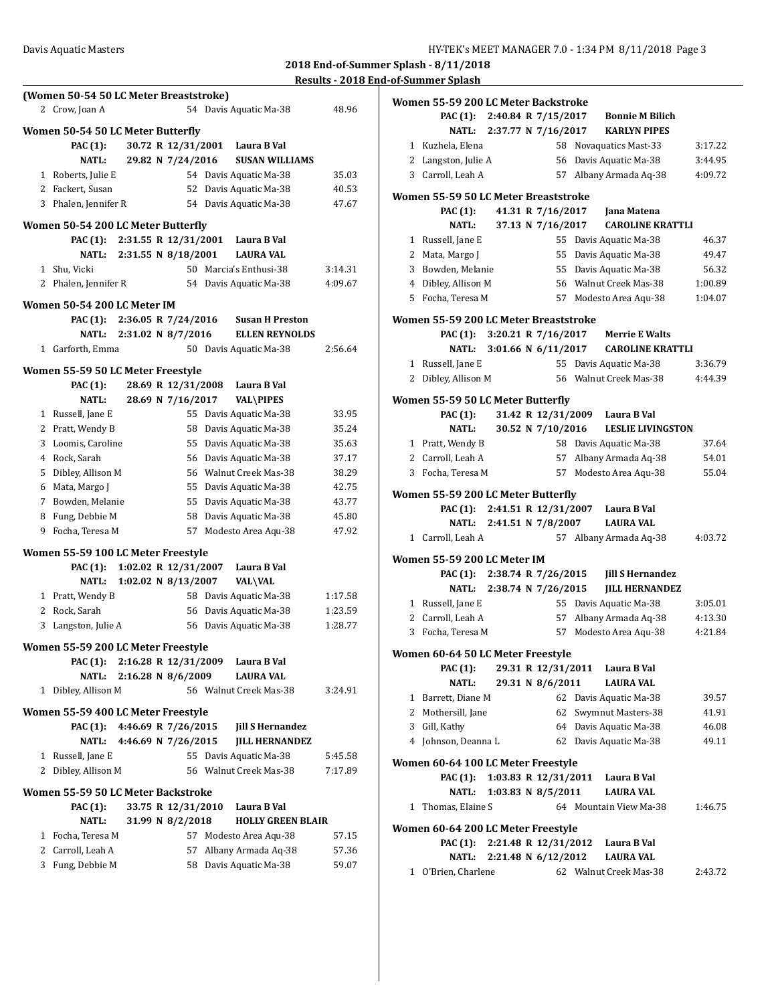|              | (Women 50-54 50 LC Meter Breaststroke) |                           |                    |                          |         |
|--------------|----------------------------------------|---------------------------|--------------------|--------------------------|---------|
|              | 2 Crow, Joan A                         |                           |                    | 54 Davis Aquatic Ma-38   | 48.96   |
|              | Women 50-54 50 LC Meter Butterfly      |                           |                    |                          |         |
|              |                                        |                           | 30.72 R 12/31/2001 | Laura B Val              |         |
|              | PAC (1):<br><b>NATL:</b>               |                           | 29.82 N 7/24/2016  | <b>SUSAN WILLIAMS</b>    |         |
|              |                                        |                           |                    | 54 Davis Aquatic Ma-38   |         |
|              | 1 Roberts, Julie E                     |                           | 52                 |                          | 35.03   |
|              | 2 Fackert, Susan                       |                           |                    | Davis Aquatic Ma-38      | 40.53   |
|              | 3 Phalen, Jennifer R                   |                           |                    | 54 Davis Aquatic Ma-38   | 47.67   |
|              | Women 50-54 200 LC Meter Butterfly     |                           |                    |                          |         |
|              | PAC (1):                               | 2:31.55 R 12/31/2001      |                    | Laura B Val              |         |
|              |                                        | NATL: 2:31.55 N 8/18/2001 |                    | <b>LAURA VAL</b>         |         |
|              | 1 Shu, Vicki                           |                           |                    | 50 Marcia's Enthusi-38   | 3:14.31 |
|              | 2 Phalen, Jennifer R                   |                           |                    | 54 Davis Aquatic Ma-38   | 4:09.67 |
|              | Women 50-54 200 LC Meter IM            |                           |                    |                          |         |
|              | PAC (1):                               | 2:36.05 R 7/24/2016       |                    | <b>Susan H Preston</b>   |         |
|              | NATL:                                  | 2:31.02 N 8/7/2016        |                    | <b>ELLEN REYNOLDS</b>    |         |
| 1            | Garforth, Emma                         |                           |                    | 50 Davis Aquatic Ma-38   | 2:56.64 |
|              |                                        |                           |                    |                          |         |
|              | Women 55-59 50 LC Meter Freestyle      |                           |                    |                          |         |
|              | <b>PAC</b> (1):                        |                           | 28.69 R 12/31/2008 | Laura B Val              |         |
|              | <b>NATL:</b>                           |                           | 28.69 N 7/16/2017  | <b>VAL\PIPES</b>         |         |
|              | 1 Russell, Jane E                      |                           |                    | 55 Davis Aquatic Ma-38   | 33.95   |
|              | 2 Pratt, Wendy B                       |                           |                    | 58 Davis Aquatic Ma-38   | 35.24   |
|              | 3 Loomis, Caroline                     |                           |                    | 55 Davis Aquatic Ma-38   | 35.63   |
|              | 4 Rock, Sarah                          |                           |                    | 56 Davis Aquatic Ma-38   | 37.17   |
|              | 5 Dibley, Allison M                    |                           |                    | 56 Walnut Creek Mas-38   | 38.29   |
|              | 6 Mata, Margo J                        |                           |                    | 55 Davis Aquatic Ma-38   | 42.75   |
|              | 7 Bowden, Melanie                      |                           |                    | 55 Davis Aquatic Ma-38   | 43.77   |
|              | 8 Fung, Debbie M                       |                           | 58                 | Davis Aquatic Ma-38      | 45.80   |
| 9.           | Focha, Teresa M                        |                           | 57                 | Modesto Area Aqu-38      | 47.92   |
|              | Women 55-59 100 LC Meter Freestyle     |                           |                    |                          |         |
|              | <b>PAC</b> (1):                        | 1:02.02 R 12/31/2007      |                    | Laura B Val              |         |
|              | <b>NATL:</b>                           | 1:02.02 N 8/13/2007       |                    | <b>VAL\VAL</b>           |         |
|              | 1 Pratt, Wendy B                       |                           |                    | 58 Davis Aquatic Ma-38   | 1:17.58 |
|              | 2 Rock, Sarah                          |                           |                    | 56 Davis Aquatic Ma-38   | 1:23.59 |
|              | 3 Langston, Julie A                    |                           |                    | 56 Davis Aquatic Ma-38   | 1:28.77 |
|              |                                        |                           |                    |                          |         |
|              | Women 55-59 200 LC Meter Freestyle     |                           |                    |                          |         |
|              | PAC (1):                               | 2:16.28 R 12/31/2009      |                    | Laura B Val              |         |
|              | <b>NATL:</b>                           | 2:16.28 N 8/6/2009        |                    | <b>LAURA VAL</b>         |         |
| 1            | Dibley, Allison M                      |                           |                    | 56 Walnut Creek Mas-38   | 3:24.91 |
|              | Women 55-59 400 LC Meter Freestyle     |                           |                    |                          |         |
|              | PAC (1):                               | 4:46.69 R 7/26/2015       |                    | <b>Jill S Hernandez</b>  |         |
|              | <b>NATL:</b>                           | 4:46.69 N 7/26/2015       |                    | <b>IILL HERNANDEZ</b>    |         |
|              | 1 Russell, Jane E                      |                           |                    | 55 Davis Aquatic Ma-38   | 5:45.58 |
|              | 2 Dibley, Allison M                    |                           |                    | 56 Walnut Creek Mas-38   | 7:17.89 |
|              |                                        |                           |                    |                          |         |
|              | Women 55-59 50 LC Meter Backstroke     |                           |                    |                          |         |
|              | <b>PAC</b> (1):                        |                           | 33.75 R 12/31/2010 | Laura B Val              |         |
|              | <b>NATL:</b>                           |                           | 31.99 N 8/2/2018   | <b>HOLLY GREEN BLAIR</b> |         |
| $\mathbf{1}$ | Focha, Teresa M                        |                           | 57                 | Modesto Area Aqu-38      | 57.15   |
|              | 2 Carroll, Leah A                      |                           | 57                 | Albany Armada Aq-38      | 57.36   |
|              | 3 Fung, Debbie M                       |                           | 58                 | Davis Aquatic Ma-38      | 59.07   |

|           | Women 55-59 200 LC Meter Backstroke    |                      |                    |                                  |         |
|-----------|----------------------------------------|----------------------|--------------------|----------------------------------|---------|
|           | PAC (1): 2:40.84 R 7/15/2017           |                      |                    | <b>Bonnie M Bilich</b>           |         |
|           | <b>NATL:</b>                           | 2:37.77 N 7/16/2017  |                    | <b>KARLYN PIPES</b>              |         |
|           | 1 Kuzhela, Elena                       |                      |                    | 58 Novaquatics Mast-33           | 3:17.22 |
|           | 2 Langston, Julie A                    |                      |                    | 56 Davis Aquatic Ma-38           | 3:44.95 |
|           | 3 Carroll, Leah A                      |                      |                    | 57 Albany Armada Aq-38           | 4:09.72 |
|           |                                        |                      |                    |                                  |         |
|           | Women 55-59 50 LC Meter Breaststroke   |                      |                    |                                  |         |
|           | <b>PAC</b> (1):                        |                      | 41.31 R 7/16/2017  | Jana Matena                      |         |
|           | <b>NATL:</b>                           |                      | 37.13 N 7/16/2017  | <b>CAROLINE KRATTLI</b>          |         |
|           | 1 Russell, Jane E                      |                      | 55                 | Davis Aquatic Ma-38              | 46.37   |
|           | 2 Mata, Margo J                        |                      | 55                 | Davis Aquatic Ma-38              | 49.47   |
| 3         | Bowden, Melanie                        |                      |                    | 55 Davis Aquatic Ma-38           | 56.32   |
|           | 4 Dibley, Allison M                    |                      |                    | 56 Walnut Creek Mas-38           | 1:00.89 |
|           | 5 Focha, Teresa M                      |                      |                    | 57 Modesto Area Aqu-38           | 1:04.07 |
|           | Women 55-59 200 LC Meter Breaststroke  |                      |                    |                                  |         |
|           | PAC (1): $3:20.21 \text{ R}$ 7/16/2017 |                      |                    | <b>Merrie E Walts</b>            |         |
|           | <b>NATL:</b>                           | 3:01.66 N 6/11/2017  |                    | <b>CAROLINE KRATTLI</b>          |         |
|           | 1 Russell, Jane E                      |                      |                    | 55 Davis Aquatic Ma-38           | 3:36.79 |
| 2         | Dibley, Allison M                      |                      |                    | 56 Walnut Creek Mas-38           | 4:44.39 |
|           |                                        |                      |                    |                                  |         |
|           | Women 55-59 50 LC Meter Butterfly      |                      |                    |                                  |         |
|           | PAC (1):                               |                      |                    | 31.42 R 12/31/2009 Laura B Val   |         |
|           | <b>NATL:</b>                           |                      | 30.52 N 7/10/2016  | <b>LESLIE LIVINGSTON</b>         |         |
|           | 1 Pratt, Wendy B                       |                      |                    | 58 Davis Aquatic Ma-38           | 37.64   |
|           | 2 Carroll, Leah A                      |                      | 57                 | Albany Armada Aq-38              | 54.01   |
|           | 3 Focha, Teresa M                      |                      | 57                 | Modesto Area Aqu-38              | 55.04   |
|           | Women 55-59 200 LC Meter Butterfly     |                      |                    |                                  |         |
|           | PAC (1):                               |                      |                    | 2:41.51 R 12/31/2007 Laura B Val |         |
|           | NATL:                                  | 2:41.51 N 7/8/2007   |                    | <b>LAURA VAL</b>                 |         |
| $1 \quad$ | Carroll, Leah A                        |                      |                    | 57 Albany Armada Aq-38           | 4:03.72 |
|           |                                        |                      |                    |                                  |         |
|           | Women 55-59 200 LC Meter IM            |                      |                    |                                  |         |
|           | <b>PAC</b> (1):                        | 2:38.74 R 7/26/2015  |                    | <b>Jill S Hernandez</b>          |         |
|           | <b>NATL:</b>                           | 2:38.74 N 7/26/2015  |                    | <b>IILL HERNANDEZ</b>            |         |
|           | 1 Russell, Jane E                      |                      |                    | 55 Davis Aquatic Ma-38           | 3:05.01 |
|           | 2 Carroll. Leah A                      |                      | 57                 | Albany Armada Aq-38              | 4:13.30 |
|           | 3 Focha, Teresa M                      |                      |                    | 57 Modesto Area Aqu-38           | 4:21.84 |
|           | Women 60-64 50 LC Meter Freestyle      |                      |                    |                                  |         |
|           | <b>PAC</b> (1):                        |                      | 29.31 R 12/31/2011 | Laura B Val                      |         |
|           | <b>NATL:</b>                           |                      | 29.31 N 8/6/2011   | <b>LAURA VAL</b>                 |         |
|           | 1 Barrett, Diane M                     |                      |                    | 62 Davis Aquatic Ma-38           | 39.57   |
|           | 2 Mothersill, Jane                     |                      |                    | 62 Swymnut Masters-38            | 41.91   |
| 3         | Gill, Kathy                            |                      |                    | 64 Davis Aquatic Ma-38           | 46.08   |
| 4         | Johnson, Deanna L                      |                      |                    | 62 Davis Aquatic Ma-38           | 49.11   |
|           |                                        |                      |                    |                                  |         |
|           | Women 60-64 100 LC Meter Freestyle     |                      |                    |                                  |         |
|           | <b>PAC</b> (1):                        | 1:03.83 R 12/31/2011 |                    | Laura B Val                      |         |
|           | NATL:                                  | 1:03.83 N 8/5/2011   |                    | <b>LAURA VAL</b>                 |         |
| 1         | Thomas, Elaine S                       |                      |                    | 64 Mountain View Ma-38           | 1:46.75 |
|           | Women 60-64 200 LC Meter Freestyle     |                      |                    |                                  |         |
|           | <b>PAC</b> (1):                        | 2:21.48 R 12/31/2012 |                    | Laura B Val                      |         |
|           | NATL:                                  | 2:21.48 N 6/12/2012  |                    | <b>LAURA VAL</b>                 |         |
|           | 1 O'Brien, Charlene                    |                      |                    | 62 Walnut Creek Mas-38           | 2:43.72 |
|           |                                        |                      |                    |                                  |         |
|           |                                        |                      |                    |                                  |         |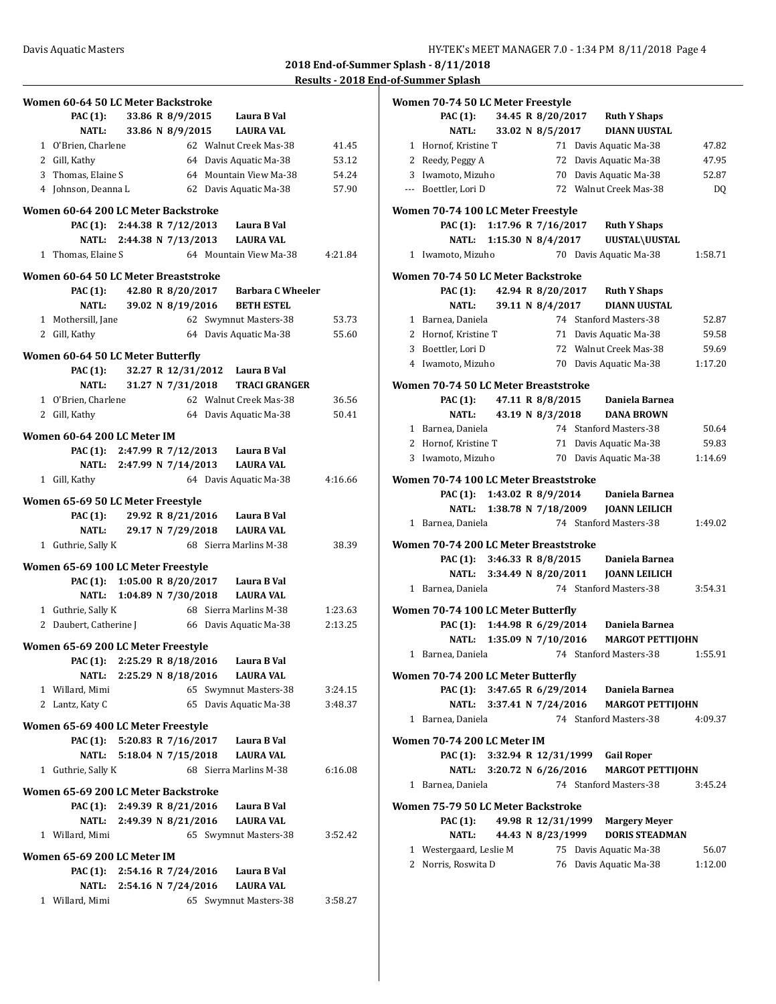| Women 60-64 50 LC Meter Backstroke                                  |                     |  |                                                                                 |         |
|---------------------------------------------------------------------|---------------------|--|---------------------------------------------------------------------------------|---------|
| PAC (1): 33.86 R 8/9/2015                                           |                     |  | Laura B Val                                                                     |         |
| NATL:                                                               |                     |  | 33.86 N 8/9/2015 LAURA VAL                                                      |         |
| 1 O'Brien, Charlene                                                 |                     |  | 62 Walnut Creek Mas-38                                                          | 41.45   |
| 2 Gill, Kathy                                                       |                     |  | 64 Davis Aquatic Ma-38                                                          | 53.12   |
| 3 Thomas, Elaine S                                                  |                     |  | 64 Mountain View Ma-38                                                          | 54.24   |
| 4 Johnson, Deanna L                                                 |                     |  | 62 Davis Aquatic Ma-38                                                          | 57.90   |
| Women 60-64 200 LC Meter Backstroke                                 |                     |  |                                                                                 |         |
|                                                                     |                     |  | PAC (1): 2:44.38 R 7/12/2013 Laura B Val                                        |         |
|                                                                     |                     |  | NATL: 2:44.38 N 7/13/2013 LAURA VAL                                             |         |
| 1 Thomas, Elaine S                                                  |                     |  | 64 Mountain View Ma-38                                                          | 4:21.84 |
| Women 60-64 50 LC Meter Breaststroke                                |                     |  |                                                                                 |         |
|                                                                     |                     |  | PAC (1): 42.80 R 8/20/2017 Barbara C Wheeler                                    |         |
| NATL:                                                               |                     |  | 39.02 N 8/19/2016 BETH ESTEL                                                    |         |
| 1 Mothersill, Jane                                                  |                     |  | 62 Swymnut Masters-38                                                           | 53.73   |
| 2 Gill, Kathy                                                       |                     |  | 64 Davis Aquatic Ma-38                                                          | 55.60   |
|                                                                     |                     |  |                                                                                 |         |
| Women 60-64 50 LC Meter Butterfly                                   |                     |  |                                                                                 |         |
| <b>PAC (1):</b>                                                     |                     |  | 32.27 R 12/31/2012 Laura B Val                                                  |         |
| <b>NATL:</b>                                                        |                     |  | 31.27 N 7/31/2018 TRACI GRANGER                                                 |         |
| 1 O'Brien, Charlene                                                 |                     |  | 62 Walnut Creek Mas-38                                                          | 36.56   |
| 2 Gill, Kathy                                                       |                     |  | 64 Davis Aquatic Ma-38                                                          | 50.41   |
| Women 60-64 200 LC Meter IM                                         |                     |  |                                                                                 |         |
|                                                                     |                     |  | PAC (1): 2:47.99 R 7/12/2013 Laura B Val                                        |         |
|                                                                     |                     |  | NATL: 2:47.99 N 7/14/2013 LAURA VAL                                             |         |
| 1 Gill, Kathy                                                       |                     |  | 64 Davis Aquatic Ma-38                                                          | 4:16.66 |
| Women 65-69 50 LC Meter Freestyle                                   |                     |  |                                                                                 |         |
|                                                                     |                     |  | PAC (1): 29.92 R 8/21/2016 Laura B Val                                          |         |
|                                                                     |                     |  | NATL: 29.17 N 7/29/2018 LAURA VAL                                               |         |
| 1 Guthrie, Sally K                                                  |                     |  | 68 Sierra Marlins M-38                                                          | 38.39   |
|                                                                     |                     |  |                                                                                 |         |
| Women 65-69 100 LC Meter Freestyle                                  |                     |  |                                                                                 |         |
|                                                                     |                     |  | PAC (1): 1:05.00 R 8/20/2017 Laura B Val<br>NATL: 1:04.89 N 7/30/2018 LAURA VAL |         |
|                                                                     |                     |  |                                                                                 |         |
| 1 Guthrie, Sally K<br>2 Daubert, Catherine J 66 Davis Aquatic Ma-38 |                     |  | 68 Sierra Marlins M-38                                                          | 1:23.63 |
|                                                                     |                     |  |                                                                                 | 2:13.25 |
| Women 65-69 200 LC Meter Freestyle                                  |                     |  |                                                                                 |         |
| <b>PAC</b> (1):                                                     | 2:25.29 R 8/18/2016 |  | Laura B Val                                                                     |         |
| <b>NATL:</b>                                                        | 2:25.29 N 8/18/2016 |  | LAURA VAL                                                                       |         |
| 1 Willard, Mimi                                                     |                     |  | 65 Swymnut Masters-38                                                           | 3:24.15 |
| 2 Lantz, Katy C                                                     |                     |  | 65 Davis Aquatic Ma-38                                                          | 3:48.37 |
| Women 65-69 400 LC Meter Freestyle                                  |                     |  |                                                                                 |         |
|                                                                     |                     |  | PAC (1): 5:20.83 R 7/16/2017 Laura B Val                                        |         |
| NATL: 5:18.04 N 7/15/2018                                           |                     |  | <b>LAURA VAL</b>                                                                |         |
| 1 Guthrie, Sally K                                                  |                     |  | 68 Sierra Marlins M-38                                                          | 6:16.08 |
|                                                                     |                     |  |                                                                                 |         |
| Women 65-69 200 LC Meter Backstroke                                 |                     |  |                                                                                 |         |
| PAC (1): 2:49.39 R 8/21/2016                                        |                     |  | Laura B Val                                                                     |         |
| NATL: 2:49.39 N 8/21/2016                                           |                     |  | <b>LAURA VAL</b>                                                                |         |
| 1 Willard, Mimi                                                     |                     |  | 65 Swymnut Masters-38                                                           | 3:52.42 |
| Women 65-69 200 LC Meter IM                                         |                     |  |                                                                                 |         |
|                                                                     |                     |  | PAC (1): 2:54.16 R 7/24/2016 Laura B Val                                        |         |
| NATL: 2:54.16 N 7/24/2016                                           |                     |  | <b>LAURA VAL</b>                                                                |         |
| 1 Willard, Mimi                                                     |                     |  | 65 Swymnut Masters-38                                                           | 3:58.27 |

| Women 70-74 50 LC Meter Freestyle     |                           |                    |                                             |         |
|---------------------------------------|---------------------------|--------------------|---------------------------------------------|---------|
| <b>PAC</b> (1):                       |                           |                    | 34.45 R 8/20/2017 Ruth Y Shaps              |         |
| NATL:                                 | 33.02 N 8/5/2017          |                    | <b>DIANN UUSTAL</b>                         |         |
| 1 Hornof, Kristine T                  |                           |                    | 71 Davis Aquatic Ma-38                      | 47.82   |
| 2 Reedy, Peggy A                      |                           |                    | 72 Davis Aquatic Ma-38                      | 47.95   |
|                                       |                           |                    |                                             |         |
| 3 Iwamoto, Mizuho                     |                           |                    | 70 Davis Aquatic Ma-38                      | 52.87   |
| --- Boettler, Lori D                  |                           |                    | 72 Walnut Creek Mas-38                      | DQ      |
| Women 70-74 100 LC Meter Freestyle    |                           |                    |                                             |         |
|                                       |                           |                    | PAC (1): 1:17.96 R 7/16/2017 Ruth Y Shaps   |         |
|                                       | NATL: 1:15.30 N 8/4/2017  |                    | UUSTAL\UUSTAL                               |         |
| 1 Iwamoto, Mizuho                     |                           |                    | 70 Davis Aquatic Ma-38                      | 1:58.71 |
|                                       |                           |                    |                                             |         |
| Women 70-74 50 LC Meter Backstroke    |                           |                    |                                             |         |
|                                       |                           |                    | PAC (1): 42.94 R 8/20/2017 Ruth Y Shaps     |         |
|                                       | NATL: 39.11 N 8/4/2017    |                    | DIANN UUSTAL                                |         |
| 1 Barnea, Daniela                     |                           |                    | 74 Stanford Masters-38                      | 52.87   |
| 2 Hornof, Kristine T                  |                           |                    | 71 Davis Aquatic Ma-38                      | 59.58   |
| 3 Boettler, Lori D                    |                           |                    | 72 Walnut Creek Mas-38                      | 59.69   |
| 4 Iwamoto, Mizuho                     |                           |                    | 70 Davis Aquatic Ma-38                      | 1:17.20 |
|                                       |                           |                    |                                             |         |
| Women 70-74 50 LC Meter Breaststroke  |                           |                    |                                             |         |
| PAC (1):                              | 47.11 R 8/8/2015          |                    | Daniela Barnea                              |         |
| <b>NATL:</b>                          |                           | 43.19 N 8/3/2018   | <b>DANA BROWN</b>                           |         |
| 1 Barnea, Daniela                     |                           |                    | 74 Stanford Masters-38                      | 50.64   |
| 2 Hornof, Kristine T                  |                           |                    | 71 Davis Aquatic Ma-38                      | 59.83   |
| 3 Iwamoto, Mizuho                     |                           |                    | 70 Davis Aquatic Ma-38                      | 1:14.69 |
|                                       |                           |                    |                                             |         |
| Women 70-74 100 LC Meter Breaststroke |                           |                    |                                             |         |
|                                       |                           |                    | PAC (1): 1:43.02 R 8/9/2014 Daniela Barnea  |         |
|                                       |                           |                    | NATL: 1:38.78 N 7/18/2009 JOANN LEILICH     |         |
|                                       |                           |                    |                                             |         |
| 1 Barnea, Daniela                     |                           |                    | 74 Stanford Masters-38                      | 1:49.02 |
|                                       |                           |                    |                                             |         |
| Women 70-74 200 LC Meter Breaststroke |                           |                    |                                             |         |
|                                       |                           |                    | PAC (1): 3:46.33 R 8/8/2015 Daniela Barnea  |         |
|                                       |                           |                    |                                             |         |
| 1 Barnea, Daniela                     |                           |                    | 74 Stanford Masters-38                      | 3:54.31 |
| Women 70-74 100 LC Meter Butterfly    |                           |                    |                                             |         |
|                                       |                           |                    | PAC (1): 1:44.98 R 6/29/2014 Daniela Barnea |         |
|                                       |                           |                    | NATL: 1:35.09 N 7/10/2016 MARGOT PETTIJOHN  |         |
|                                       |                           |                    |                                             |         |
| 1 Barnea, Daniela                     |                           |                    | 74 Stanford Masters-38                      | 1:55.91 |
| Women 70-74 200 LC Meter Butterfly    |                           |                    |                                             |         |
|                                       |                           |                    | PAC (1): 3:47.65 R 6/29/2014 Daniela Barnea |         |
| <b>NATL:</b>                          | 3:37.41 N 7/24/2016       |                    | <b>MARGOT PETTIJOHN</b>                     |         |
| 1 Barnea, Daniela                     |                           |                    | 74 Stanford Masters-38                      | 4:09.37 |
|                                       |                           |                    |                                             |         |
| Women 70-74 200 LC Meter IM           |                           |                    |                                             |         |
| <b>PAC</b> (1):                       |                           |                    | 3:32.94 R 12/31/1999 Gail Roper             |         |
|                                       | NATL: 3:20.72 N 6/26/2016 |                    | <b>MARGOT PETTIJOHN</b>                     |         |
| 1 Barnea, Daniela                     |                           |                    | 74 Stanford Masters-38                      | 3:45.24 |
| Women 75-79 50 LC Meter Backstroke    |                           |                    |                                             |         |
| <b>PAC</b> (1):                       |                           |                    | <b>Margery Meyer</b>                        |         |
| NATL:                                 |                           | 49.98 R 12/31/1999 | <b>DORIS STEADMAN</b>                       |         |
|                                       |                           | 44.43 N 8/23/1999  |                                             |         |
| 1 Westergaard, Leslie M               |                           |                    | 75 Davis Aquatic Ma-38                      | 56.07   |
| 2 Norris, Roswita D                   |                           |                    | 76 Davis Aquatic Ma-38                      | 1:12.00 |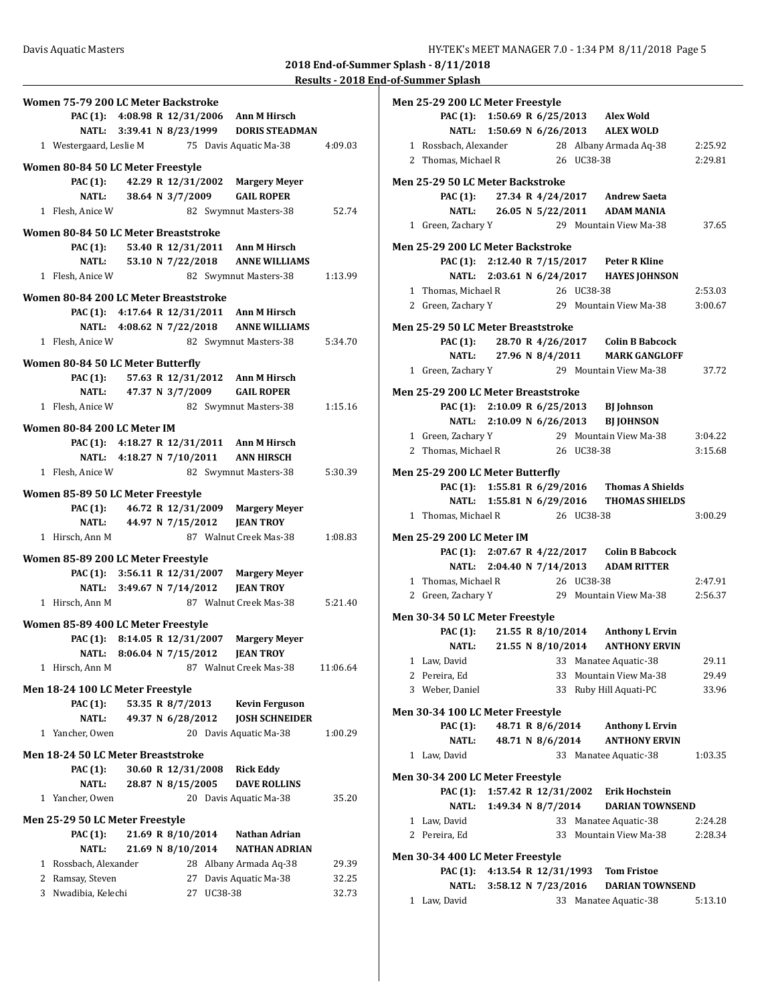**Results - 2018 End-of-Summer Splash**

| Women 75-79 200 LC Meter Backstroke                                       |          |
|---------------------------------------------------------------------------|----------|
| PAC (1): 4:08.98 R 12/31/2006 Ann M Hirsch                                |          |
| NATL: 3:39.41 N 8/23/1999 DORIS STEADMAN                                  |          |
| 1 Westergaard, Leslie M<br>75 Davis Aquatic Ma-38                         | 4:09.03  |
| Women 80-84 50 LC Meter Freestyle                                         |          |
| PAC (1):<br>42.29 R 12/31/2002 Margery Meyer                              |          |
| 38.64 N 3/7/2009<br><b>NATL:</b><br><b>GAIL ROPER</b>                     |          |
| 1 Flesh, Anice W<br>82 Swymnut Masters-38                                 | 52.74    |
|                                                                           |          |
| Women 80-84 50 LC Meter Breaststroke                                      |          |
| PAC (1): 53.40 R 12/31/2011 Ann M Hirsch                                  |          |
| NATL: 53.10 N 7/22/2018 ANNE WILLIAMS                                     |          |
| 1 Flesh, Anice W<br>82 Swymnut Masters-38                                 | 1:13.99  |
| Women 80-84 200 LC Meter Breaststroke                                     |          |
| PAC (1): $4:17.64$ R $12/31/2011$<br>Ann M Hirsch                         |          |
| NATL: 4:08.62 N 7/22/2018 ANNE WILLIAMS                                   |          |
| 1 Flesh, Anice W<br>82 Swymnut Masters-38                                 | 5:34.70  |
| Women 80-84 50 LC Meter Butterfly                                         |          |
| PAC (1): 57.63 R 12/31/2012 Ann M Hirsch                                  |          |
| NATL: 47.37 N 3/7/2009<br><b>GAIL ROPER</b>                               |          |
| 1 Flesh. Anice W<br>82 Swymnut Masters-38                                 | 1:15.16  |
|                                                                           |          |
| Women 80-84 200 LC Meter IM<br>PAC (1): 4:18.27 R 12/31/2011 Ann M Hirsch |          |
| NATL: 4:18.27 N 7/10/2011 ANN HIRSCH                                      |          |
| 1 Flesh, Anice W<br>82 Swymnut Masters-38                                 | 5:30.39  |
|                                                                           |          |
| Women 85-89 50 LC Meter Freestyle                                         |          |
| 46.72 R 12/31/2009 Margery Meyer<br>PAC (1):                              |          |
| 44.97 N 7/15/2012<br><b>NATL:</b><br><b>JEAN TROY</b>                     |          |
| 1 Hirsch, Ann M<br>87 Walnut Creek Mas-38                                 | 1:08.83  |
| Women 85-89 200 LC Meter Freestyle                                        |          |
| PAC (1): 3:56.11 R 12/31/2007 Margery Meyer                               |          |
| NATL: 3:49.67 N 7/14/2012<br><b>JEAN TROY</b>                             |          |
| 87 Walnut Creek Mas-38<br>1 Hirsch, Ann M                                 | 5:21.40  |
| Women 85-89 400 LC Meter Freestyle                                        |          |
| PAC (1): 8:14.05 R 12/31/2007<br><b>Margery Meyer</b>                     |          |
| 8:06.04 N 7/15/2012<br><b>JEAN TROY</b><br><b>NATL:</b>                   |          |
| 87 Walnut Creek Mas-38<br>1 Hirsch, Ann M                                 | 11:06.64 |
| Men 18-24 100 LC Meter Freestyle                                          |          |
| <b>PAC</b> (1):<br>53.35 R 8/7/2013<br><b>Kevin Ferguson</b>              |          |
| <b>NATL:</b><br>49.37 N 6/28/2012<br><b>JOSH SCHNEIDER</b>                |          |
| 1 Yancher, Owen<br>20 Davis Aquatic Ma-38                                 | 1:00.29  |
|                                                                           |          |
| Men 18-24 50 LC Meter Breaststroke                                        |          |
| PAC (1):<br>30.60 R 12/31/2008<br><b>Rick Eddy</b>                        |          |
| 28.87 N 8/15/2005<br><b>NATL:</b><br><b>DAVE ROLLINS</b>                  |          |
| 1 Yancher, Owen<br>20 Davis Aquatic Ma-38                                 | 35.20    |
| Men 25-29 50 LC Meter Freestyle                                           |          |
| 21.69 R 8/10/2014<br><b>PAC</b> (1):<br>Nathan Adrian                     |          |
| 21.69 N 8/10/2014<br><b>NATL:</b><br><b>NATHAN ADRIAN</b>                 |          |
| 1 Rossbach, Alexander<br>28 Albany Armada Aq-38                           | 29.39    |
| 2 Ramsay, Steven<br>Davis Aquatic Ma-38<br>27                             | 32.25    |
| 3 Nwadibia, Kelechi<br>UC38-38<br>27                                      | 32.73    |
|                                                                           |          |

| Men 25-29 200 LC Meter Freestyle    |                          |                     |            |                                                                                             |         |
|-------------------------------------|--------------------------|---------------------|------------|---------------------------------------------------------------------------------------------|---------|
|                                     |                          |                     |            | PAC (1): 1:50.69 R 6/25/2013 Alex Wold                                                      |         |
|                                     |                          |                     |            | NATL: 1:50.69 N 6/26/2013 ALEX WOLD                                                         |         |
|                                     |                          |                     |            | 1 Rossbach, Alexander 28 Albany Armada Aq-38 2:25.92                                        |         |
| 2 Thomas, Michael R 26 UC38-38      |                          |                     |            |                                                                                             | 2:29.81 |
|                                     |                          |                     |            |                                                                                             |         |
| Men 25-29 50 LC Meter Backstroke    |                          |                     |            |                                                                                             |         |
|                                     |                          |                     |            | PAC (1): 27.34 R 4/24/2017 Andrew Saeta                                                     |         |
|                                     |                          |                     |            | NATL: 26.05 N 5/22/2011 ADAM MANIA<br>29 Mountain View Ma-38 37.65                          |         |
| 1 Green, Zachary Y                  |                          |                     |            |                                                                                             |         |
| Men 25-29 200 LC Meter Backstroke   |                          |                     |            |                                                                                             |         |
|                                     |                          |                     |            | PAC (1): 2:12.40 R 7/15/2017 Peter R Kline                                                  |         |
|                                     |                          |                     |            | NATL: 2:03.61 N 6/24/2017 HAYES JOHNSON                                                     |         |
| 1 Thomas, Michael R                 |                          |                     | 26 UC38-38 |                                                                                             | 2:53.03 |
| 2 Green, Zachary Y                  |                          |                     |            | 29 Mountain View Ma-38                                                                      | 3:00.67 |
|                                     |                          |                     |            |                                                                                             |         |
| Men 25-29 50 LC Meter Breaststroke  |                          |                     |            | PAC (1): 28.70 R 4/26/2017 Colin B Babcock                                                  |         |
|                                     |                          |                     |            | NATL: 27.96 N 8/4/2011 MARK GANGLOFF                                                        |         |
|                                     |                          |                     |            |                                                                                             |         |
| 1 Green, Zachary Y                  |                          |                     |            | 29 Mountain View Ma-38                                                                      | 37.72   |
| Men 25-29 200 LC Meter Breaststroke |                          |                     |            |                                                                                             |         |
|                                     |                          |                     |            | PAC (1): 2:10.09 R $6/25/2013$ BJ Johnson                                                   |         |
|                                     |                          |                     |            | NATL: 2:10.09 N 6/26/2013 BJ JOHNSON                                                        |         |
| 1 Green, Zachary Y                  |                          |                     |            | 29 Mountain View Ma-38                                                                      | 3:04.22 |
| 2 Thomas, Michael R                 |                          |                     | 26 UC38-38 |                                                                                             | 3:15.68 |
|                                     |                          |                     |            |                                                                                             |         |
| Men 25-29 200 LC Meter Butterfly    |                          |                     |            |                                                                                             |         |
|                                     |                          |                     |            | PAC (1): 1:55.81 R 6/29/2016 Thomas A Shields                                               |         |
|                                     |                          |                     |            | NATL: 1:55.81 N 6/29/2016 THOMAS SHIELDS                                                    |         |
| 1 Thomas, Michael R                 |                          | 26 UC38-38          |            |                                                                                             | 3:00.29 |
| <b>Men 25-29 200 LC Meter IM</b>    |                          |                     |            |                                                                                             |         |
|                                     |                          |                     |            | PAC (1): 2:07.67 R 4/22/2017 Colin B Babcock                                                |         |
|                                     |                          |                     |            | NATL: 2:04.40 N 7/14/2013 ADAM RITTER                                                       |         |
|                                     |                          |                     |            | 1 Thomas, Michael R 26 UC38-38 2:47.91<br>2 Green, Zachary Y 29 Mountain View Ma-38 2:56.37 |         |
|                                     |                          |                     |            |                                                                                             |         |
|                                     |                          |                     |            |                                                                                             |         |
| Men 30-34 50 LC Meter Freestyle     |                          |                     |            | PAC (1): 21.55 R 8/10/2014 Anthony L Ervin                                                  |         |
|                                     |                          |                     |            | NATL: 21.55 N 8/10/2014 ANTHONY ERVIN                                                       |         |
|                                     |                          |                     |            |                                                                                             |         |
|                                     |                          |                     |            | 1 Law, David 33 Manatee Aquatic-38                                                          | 29.11   |
| 2 Pereira, Ed                       |                          | 33                  |            | Mountain View Ma-38                                                                         | 29.49   |
| 3 Weber, Daniel                     |                          |                     |            | 33 Ruby Hill Aquati-PC                                                                      | 33.96   |
| Men 30-34 100 LC Meter Freestyle    |                          |                     |            |                                                                                             |         |
| <b>PAC</b> (1):                     |                          | 48.71 R 8/6/2014    |            | <b>Anthony L Ervin</b>                                                                      |         |
| <b>NATL:</b>                        |                          | 48.71 N 8/6/2014    |            | <b>ANTHONY ERVIN</b>                                                                        |         |
| 1 Law, David                        |                          |                     |            | 33 Manatee Aquatic-38                                                                       | 1:03.35 |
|                                     |                          |                     |            |                                                                                             |         |
| Men 30-34 200 LC Meter Freestyle    |                          |                     |            |                                                                                             |         |
| <b>PAC (1):</b>                     | 1:57.42 R 12/31/2002     |                     |            | <b>Erik Hochstein</b>                                                                       |         |
|                                     | NATL: 1:49.34 N 8/7/2014 |                     |            | <b>DARIAN TOWNSEND</b>                                                                      |         |
| 1 Law, David                        |                          |                     |            | 33 Manatee Aquatic-38                                                                       | 2:24.28 |
| 2 Pereira, Ed                       |                          |                     |            | 33 Mountain View Ma-38                                                                      | 2:28.34 |
| Men 30-34 400 LC Meter Freestyle    |                          |                     |            |                                                                                             |         |
| <b>PAC</b> (1):                     |                          |                     |            | 4:13.54 R 12/31/1993 Tom Fristoe                                                            |         |
|                                     |                          |                     |            |                                                                                             |         |
| NATL:                               |                          | 3:58.12 N 7/23/2016 |            | <b>DARIAN TOWNSEND</b>                                                                      |         |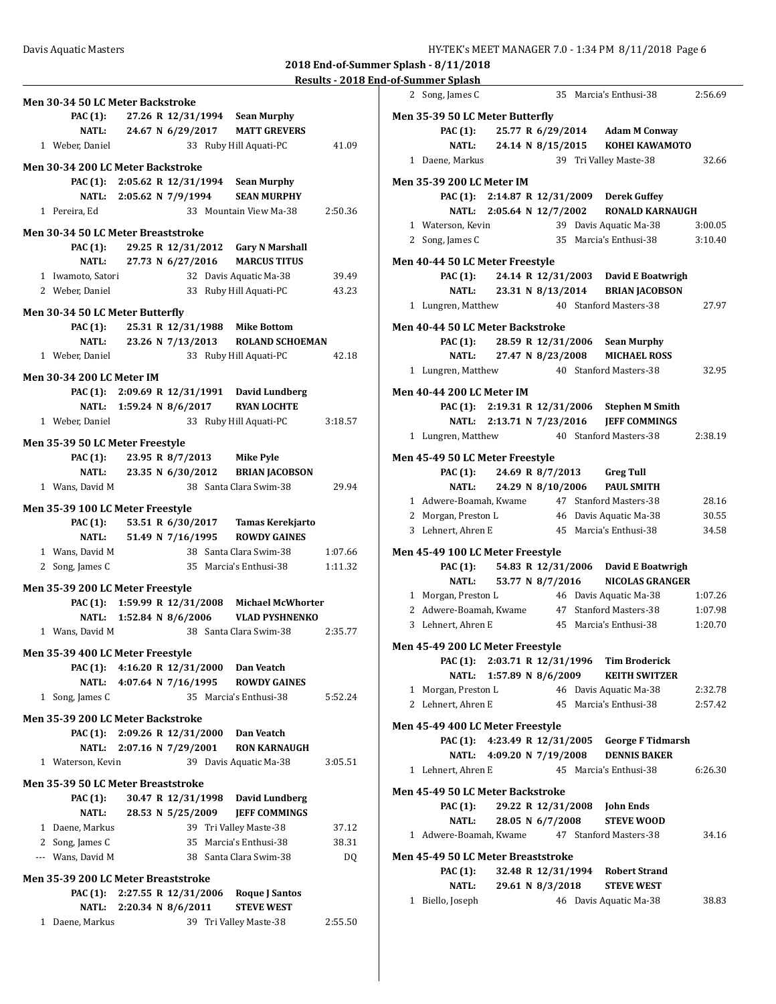**Men 35-39 200 LC Meter Backstroke**

**Men 35-39 50 LC Meter Breaststroke**

**Men 35-39 200 LC Meter Breaststroke**

2 Song, James C 35 Marcia's Enthusi-38 2:56.69

| Davis Aquatic Masters            |                                              |                                           |         | HY-TEK's MEET MANAGER 7.0 - 1:34 PM 8/11/2018 Page 6                                                                     |     |
|----------------------------------|----------------------------------------------|-------------------------------------------|---------|--------------------------------------------------------------------------------------------------------------------------|-----|
|                                  |                                              |                                           |         | 2018 End-of-Summer Splash - 8/11/2018                                                                                    |     |
|                                  |                                              |                                           |         | Results - 2018 End-of-Summer Splash                                                                                      |     |
|                                  |                                              |                                           |         | 35 Marcia's Enthusi-38<br>2 Song, James C                                                                                | 2:5 |
|                                  | Men 30-34 50 LC Meter Backstroke             |                                           |         |                                                                                                                          |     |
| <b>PAC</b> (1):<br><b>NATL:</b>  | 27.26 R 12/31/1994                           | <b>Sean Murphy</b><br><b>MATT GREVERS</b> |         | Men 35-39 50 LC Meter Butterfly<br>25.77 R 6/29/2014<br><b>Adam M Conway</b>                                             |     |
| 1 Weber, Daniel                  | 24.67 N 6/29/2017                            | 33 Ruby Hill Aquati-PC                    | 41.09   | <b>PAC (1):</b><br><b>NATL:</b><br>24.14 N 8/15/2015<br><b>KOHEI KAWAMOTO</b>                                            |     |
|                                  |                                              |                                           |         | 1 Daene, Markus<br>39 Tri Valley Maste-38                                                                                |     |
|                                  | Men 30-34 200 LC Meter Backstroke            |                                           |         |                                                                                                                          |     |
| <b>PAC</b> (1):                  | 2:05.62 R 12/31/1994                         | <b>Sean Murphy</b>                        |         | <b>Men 35-39 200 LC Meter IM</b>                                                                                         |     |
| NATL:                            | 2:05.62 N 7/9/1994                           | <b>SEAN MURPHY</b>                        |         | PAC (1): 2:14.87 R 12/31/2009<br><b>Derek Guffey</b>                                                                     |     |
| 1 Pereira, Ed                    |                                              | 33 Mountain View Ma-38                    | 2:50.36 | NATL: 2:05.64 N 12/7/2002<br><b>RONALD KARNAUGH</b>                                                                      |     |
|                                  | Men 30-34 50 LC Meter Breaststroke           |                                           |         | 1 Waterson, Kevin<br>39 Davis Aquatic Ma-38                                                                              | 3:0 |
| PAC (1):                         | 29.25 R 12/31/2012                           | <b>Gary N Marshall</b>                    |         | 2 Song, James C<br>35 Marcia's Enthusi-38                                                                                | 3:1 |
| <b>NATL:</b>                     | 27.73 N 6/27/2016                            | <b>MARCUS TITUS</b>                       |         | Men 40-44 50 LC Meter Freestyle                                                                                          |     |
| 1 Iwamoto, Satori                |                                              | 32 Davis Aquatic Ma-38                    | 39.49   | <b>PAC</b> (1):<br>24.14 R 12/31/2003<br><b>David E Boatwrigh</b>                                                        |     |
| 2 Weber, Daniel                  |                                              | 33 Ruby Hill Aquati-PC                    | 43.23   | <b>NATL:</b><br>23.31 N 8/13/2014<br><b>BRIAN JACOBSON</b>                                                               |     |
|                                  |                                              |                                           |         | 1 Lungren, Matthew<br>40 Stanford Masters-38                                                                             | 2   |
|                                  | Men 30-34 50 LC Meter Butterfly              |                                           |         |                                                                                                                          |     |
| PAC (1):                         | 25.31 R 12/31/1988                           | <b>Mike Bottom</b>                        |         | Men 40-44 50 LC Meter Backstroke                                                                                         |     |
| NATL:                            | 23.26 N 7/13/2013                            | <b>ROLAND SCHOEMAN</b>                    |         | PAC (1):<br>28.59 R 12/31/2006<br><b>Sean Murphy</b>                                                                     |     |
| 1 Weber, Daniel                  |                                              | 33 Ruby Hill Aquati-PC                    | 42.18   | <b>NATL:</b><br>27.47 N 8/23/2008<br><b>MICHAEL ROSS</b>                                                                 |     |
| <b>Men 30-34 200 LC Meter IM</b> |                                              |                                           |         | 1 Lungren, Matthew<br>40 Stanford Masters-38                                                                             |     |
|                                  | PAC (1): 2:09.69 R 12/31/1991 David Lundberg |                                           |         | <b>Men 40-44 200 LC Meter IM</b>                                                                                         |     |
|                                  | NATL: 1:59.24 N 8/6/2017                     | <b>RYAN LOCHTE</b>                        |         | PAC (1): 2:19.31 R 12/31/2006<br><b>Stephen M Smith</b>                                                                  |     |
| 1 Weber, Daniel                  |                                              | 33 Ruby Hill Aquati-PC                    | 3:18.57 | NATL: 2:13.71 N 7/23/2016<br><b>JEFF COMMINGS</b>                                                                        |     |
|                                  | Men 35-39 50 LC Meter Freestyle              |                                           |         | 1 Lungren, Matthew<br>40 Stanford Masters-38                                                                             | 2.3 |
| PAC (1):                         | 23.95 R 8/7/2013                             | Mike Pyle                                 |         | Men 45-49 50 LC Meter Freestyle                                                                                          |     |
| NATL:                            | 23.35 N 6/30/2012                            | <b>BRIAN JACOBSON</b>                     |         | <b>PAC</b> (1):<br>24.69 R 8/7/2013<br><b>Greg Tull</b>                                                                  |     |
| 1 Wans, David M                  |                                              | 38 Santa Clara Swim-38                    | 29.94   | <b>NATL:</b><br>24.29 N 8/10/2006<br><b>PAUL SMITH</b>                                                                   |     |
|                                  |                                              |                                           |         | 1 Adwere-Boamah, Kwame<br>47 Stanford Masters-38                                                                         |     |
|                                  | Men 35-39 100 LC Meter Freestyle             |                                           |         | 2 Morgan, Preston L<br>46 Davis Aquatic Ma-38                                                                            |     |
| <b>PAC</b> (1):                  | 53.51 R 6/30/2017                            | Tamas Kerekjarto                          |         | 3 Lehnert, Ahren E<br>45 Marcia's Enthusi-38                                                                             |     |
| <b>NATL:</b>                     | 51.49 N 7/16/1995                            | <b>ROWDY GAINES</b>                       |         |                                                                                                                          |     |
| 1 Wans, David M                  |                                              | 38 Santa Clara Swim-38                    | 1:07.66 | Men 45-49 100 LC Meter Freestyle                                                                                         |     |
| 2 Song, James C                  | Men 35-39 200 LC Meter Freestyle             | 35 Marcia's Enthusi-38                    | 1:11.32 | 54.83 R 12/31/2006<br>David E Boatwrigh<br><b>PAC</b> (1):<br><b>NATL:</b><br>53.77 N 8/7/2016<br><b>NICOLAS GRANGER</b> |     |
|                                  | PAC (1): 1:59.99 R 12/31/2008                | <b>Michael McWhorter</b>                  |         | 1 Morgan, Preston L<br>46 Davis Aquatic Ma-38                                                                            | 1:0 |
|                                  | NATL: 1:52.84 N 8/6/2006                     | <b>VLAD PYSHNENKO</b>                     |         | 2 Adwere-Boamah, Kwame<br>47 Stanford Masters-38                                                                         | 1:0 |
| 1 Wans, David M                  |                                              | 38 Santa Clara Swim-38                    | 2:35.77 | 3 Lehnert, Ahren E<br>45 Marcia's Enthusi-38                                                                             | 1:2 |
|                                  |                                              |                                           |         | Men 45-49 200 LC Meter Freestyle                                                                                         |     |
|                                  | Men 35-39 400 LC Meter Freestyle             |                                           |         | PAC (1): 2:03.71 R 12/31/1996<br><b>Tim Broderick</b>                                                                    |     |
|                                  | PAC (1): 4:16.20 R 12/31/2000                | Dan Veatch                                |         | NATL: 1:57.89 N 8/6/2009<br><b>KEITH SWITZER</b>                                                                         |     |
| <b>NATL:</b>                     | 4:07.64 N 7/16/1995                          | <b>ROWDY GAINES</b>                       |         | 1 Morgan, Preston L<br>46 Davis Aquatic Ma-38                                                                            | 2.3 |
| 1 Song, James C                  |                                              | 35 Marcia's Enthusi-38                    | 5:52.24 |                                                                                                                          |     |

| 1 Weber, Daniel<br>33 Ruby Hill Aquati-PC<br>41.09                                            | <b>NATL:</b><br>24.14 N 8/15/2015<br><b>KOHEI KAWAMOTO</b>              |
|-----------------------------------------------------------------------------------------------|-------------------------------------------------------------------------|
| en 30-34 200 LC Meter Backstroke                                                              | 1 Daene, Markus<br>39 Tri Valley Maste-38<br>32.66                      |
| PAC (1): $2:05.62$ R $12/31/1994$<br><b>Sean Murphy</b>                                       | <b>Men 35-39 200 LC Meter IM</b>                                        |
| NATL: 2:05.62 N 7/9/1994<br><b>SEAN MURPHY</b>                                                | PAC (1): 2:14.87 R 12/31/2009 Derek Guffey                              |
| 33 Mountain View Ma-38<br>2:50.36<br>1 Pereira, Ed                                            | NATL: 2:05.64 N 12/7/2002<br><b>RONALD KARNAUGH</b>                     |
| en 30-34 50 LC Meter Breaststroke                                                             | 1 Waterson, Kevin<br>39 Davis Aquatic Ma-38<br>3:00.05                  |
| 29.25 R 12/31/2012 Gary N Marshall<br><b>PAC (1):</b>                                         | 2 Song, James C<br>35 Marcia's Enthusi-38<br>3:10.40                    |
| <b>NATL:</b><br>27.73 N 6/27/2016<br><b>MARCUS TITUS</b>                                      | Men 40-44 50 LC Meter Freestyle                                         |
| 1 Iwamoto, Satori<br>32 Davis Aquatic Ma-38<br>39.49                                          | <b>PAC</b> (1):<br>24.14 R 12/31/2003<br>David E Boatwrigh              |
| 2 Weber, Daniel<br>33 Ruby Hill Aquati-PC<br>43.23                                            | <b>NATL:</b><br>23.31 N 8/13/2014<br><b>BRIAN JACOBSON</b>              |
|                                                                                               | 27.97<br>1 Lungren, Matthew<br>40 Stanford Masters-38                   |
| en 30-34 50 LC Meter Butterfly<br><b>PAC</b> (1):<br>25.31 R 12/31/1988<br><b>Mike Bottom</b> | Men 40-44 50 LC Meter Backstroke                                        |
| <b>NATL:</b><br>23.26 N 7/13/2013<br><b>ROLAND SCHOEMAN</b>                                   | 28.59 R 12/31/2006<br><b>PAC (1):</b><br><b>Sean Murphy</b>             |
| 1 Weber, Daniel<br>33 Ruby Hill Aquati-PC<br>42.18                                            | <b>NATL:</b><br>27.47 N 8/23/2008<br><b>MICHAEL ROSS</b>                |
|                                                                                               | 32.95<br>1 Lungren, Matthew<br>40 Stanford Masters-38                   |
| en 30-34 200 LC Meter IM                                                                      |                                                                         |
| PAC (1): 2:09.69 R 12/31/1991 David Lundberg                                                  | <b>Men 40-44 200 LC Meter IM</b>                                        |
| <b>RYAN LOCHTE</b><br>NATL: 1:59.24 N 8/6/2017                                                | PAC (1): 2:19.31 R 12/31/2006<br><b>Stephen M Smith</b>                 |
| 1 Weber, Daniel<br>33 Ruby Hill Aquati-PC<br>3:18.57                                          | NATL: 2:13.71 N 7/23/2016<br><b>JEFF COMMINGS</b>                       |
| en 35-39 50 LC Meter Freestyle                                                                | 1 Lungren, Matthew<br>40 Stanford Masters-38<br>2:38.19                 |
| 23.95 R 8/7/2013<br><b>PAC (1):</b><br>Mike Pyle                                              | Men 45-49 50 LC Meter Freestyle                                         |
| <b>NATL:</b><br>23.35 N 6/30/2012<br><b>BRIAN JACOBSON</b>                                    | <b>PAC (1):</b><br>24.69 R 8/7/2013<br><b>Greg Tull</b>                 |
| 1 Wans, David M<br>38 Santa Clara Swim-38<br>29.94                                            | <b>NATL:</b><br>24.29 N 8/10/2006<br><b>PAUL SMITH</b>                  |
| en 35-39 100 LC Meter Freestyle                                                               | 1 Adwere-Boamah, Kwame<br>47 Stanford Masters-38<br>28.16               |
| 53.51 R 6/30/2017<br><b>PAC</b> (1):<br>Tamas Kerekjarto                                      | 30.55<br>2 Morgan, Preston L<br>46 Davis Aquatic Ma-38                  |
| <b>NATL:</b><br>51.49 N 7/16/1995<br><b>ROWDY GAINES</b>                                      | 34.58<br>3 Lehnert, Ahren E<br>45 Marcia's Enthusi-38                   |
| 38 Santa Clara Swim-38<br>1:07.66<br>1 Wans, David M                                          | Men 45-49 100 LC Meter Freestyle                                        |
| 2 Song, James C<br>35 Marcia's Enthusi-38<br>1:11.32                                          | <b>PAC</b> (1):<br>54.83 R 12/31/2006 David E Boatwrigh                 |
|                                                                                               | <b>NATL:</b><br>53.77 N 8/7/2016<br><b>NICOLAS GRANGER</b>              |
| en 35-39 200 LC Meter Freestyle<br>PAC (1): 1:59.99 R 12/31/2008<br><b>Michael McWhorter</b>  | 1 Morgan, Preston L<br>46 Davis Aquatic Ma-38<br>1:07.26                |
| NATL: 1:52.84 N 8/6/2006<br><b>VLAD PYSHNENKO</b>                                             | 2 Adwere-Boamah, Kwame<br>47 Stanford Masters-38<br>1:07.98             |
| 1 Wans, David M<br>38 Santa Clara Swim-38<br>2:35.77                                          | 3 Lehnert, Ahren E<br>45 Marcia's Enthusi-38<br>1:20.70                 |
|                                                                                               | Men 45-49 200 LC Meter Freestyle                                        |
| en 35-39 400 LC Meter Freestyle                                                               | PAC (1): 2:03.71 R 12/31/1996<br><b>Tim Broderick</b>                   |
| PAC (1): 4:16.20 R 12/31/2000 Dan Veatch                                                      | NATL: 1:57.89 N 8/6/2009<br><b>KEITH SWITZER</b>                        |
| NATL: 4:07.64 N 7/16/1995<br><b>ROWDY GAINES</b><br>5:52.24                                   | 46 Davis Aquatic Ma-38<br>1 Morgan, Preston L<br>2:32.78                |
| 1 Song, James C<br>35 Marcia's Enthusi-38                                                     | 2:57.42<br>2 Lehnert, Ahren E 45 Marcia's Enthusi-38                    |
| en 35-39 200 LC Meter Backstroke                                                              | Men 45-49 400 LC Meter Freestyle                                        |
| PAC (1): 2:09.26 R 12/31/2000<br>Dan Veatch                                                   | PAC (1): 4:23.49 R 12/31/2005<br><b>George F Tidmarsh</b>               |
| NATL: 2:07.16 N 7/29/2001<br><b>RON KARNAUGH</b>                                              | NATL: 4:09.20 N 7/19/2008<br><b>DENNIS BAKER</b>                        |
| 1 Waterson, Kevin<br>39 Davis Aquatic Ma-38<br>3:05.51                                        | 1 Lehnert, Ahren E<br>45 Marcia's Enthusi-38<br>6:26.30                 |
| en 35-39 50 LC Meter Breaststroke                                                             |                                                                         |
| 30.47 R 12/31/1998<br>David Lundberg<br><b>PAC (1):</b>                                       | Men 45-49 50 LC Meter Backstroke                                        |
| <b>NATL:</b><br>28.53 N 5/25/2009<br><b>JEFF COMMINGS</b>                                     | 29.22 R 12/31/2008<br><b>John Ends</b><br>PAC (1):<br><b>STEVE WOOD</b> |
| 1 Daene, Markus<br>39 Tri Valley Maste-38<br>37.12                                            | <b>NATL:</b><br>28.05 N 6/7/2008<br>47 Stanford Masters-38<br>34.16     |
| 2 Song, James C<br>35 Marcia's Enthusi-38<br>38.31                                            | 1 Adwere-Boamah, Kwame                                                  |
| --- Wans, David M<br>38 Santa Clara Swim-38<br>DQ                                             | Men 45-49 50 LC Meter Breaststroke                                      |
| en 35-39 200 LC Meter Breaststroke                                                            | <b>PAC</b> (1):<br>32.48 R 12/31/1994<br><b>Robert Strand</b>           |
| PAC (1): 2:27.55 R 12/31/2006<br><b>Roque J Santos</b>                                        | <b>NATL:</b><br>29.61 N 8/3/2018<br><b>STEVE WEST</b>                   |
| NATL: 2:20.34 N 8/6/2011<br><b>STEVE WEST</b>                                                 | 1 Biello, Joseph<br>38.83<br>46 Davis Aquatic Ma-38                     |
| 1 Daene, Markus<br>39 Tri Valley Maste-38<br>2:55.50                                          |                                                                         |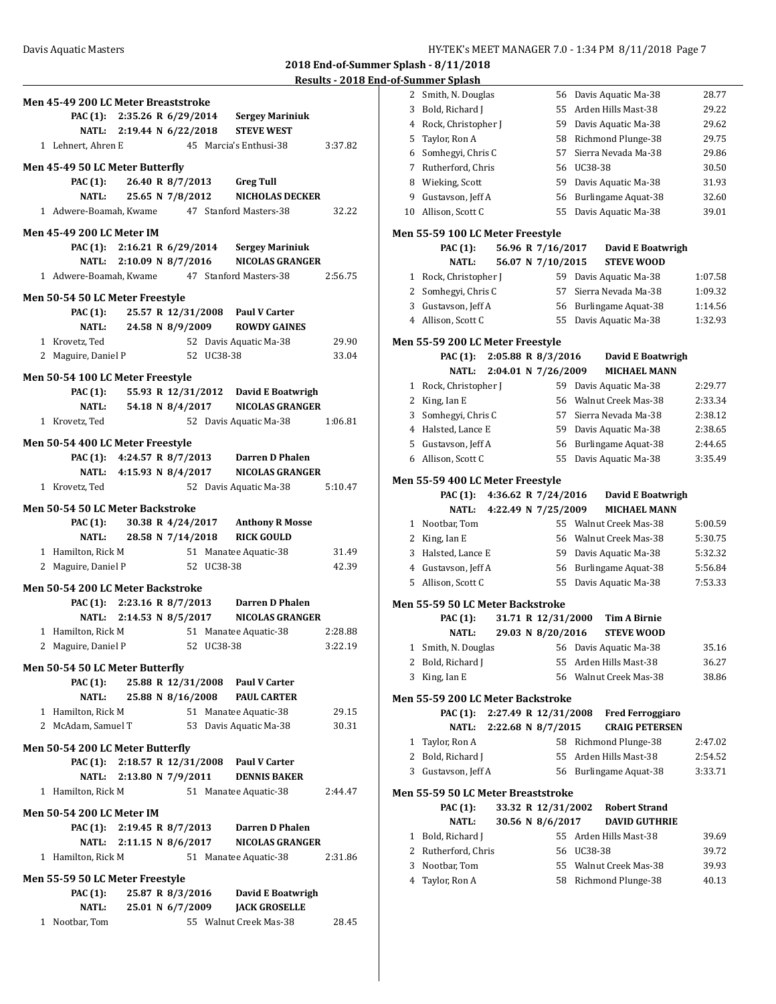| <b>Results - 2018 End-of-Summer Splash</b> |
|--------------------------------------------|
|--------------------------------------------|

| Men 45-49 200 LC Meter Breaststroke     |                                               |         |
|-----------------------------------------|-----------------------------------------------|---------|
| PAC (1): 2:35.26 R 6/29/2014            | <b>Sergey Mariniuk</b>                        |         |
| NATL: 2:19.44 N 6/22/2018               | <b>STEVE WEST</b>                             |         |
| 1 Lehnert, Ahren E                      | 45 Marcia's Enthusi-38                        | 3:37.82 |
| Men 45-49 50 LC Meter Butterfly         |                                               |         |
|                                         | PAC (1): 26.40 R 8/7/2013 Greg Tull           |         |
| NATL: 25.65 N 7/8/2012                  | <b>NICHOLAS DECKER</b>                        |         |
|                                         | 1 Adwere-Boamah, Kwame 47 Stanford Masters-38 | 32.22   |
| <b>Men 45-49 200 LC Meter IM</b>        |                                               |         |
| PAC (1): 2:16.21 R 6/29/2014            | <b>Sergey Mariniuk</b>                        |         |
| NATL: 2:10.09 N 8/7/2016                | <b>NICOLAS GRANGER</b>                        |         |
|                                         | 1 Adwere-Boamah, Kwame 47 Stanford Masters-38 | 2:56.75 |
| Men 50-54 50 LC Meter Freestyle         |                                               |         |
|                                         | PAC (1): 25.57 R 12/31/2008 Paul V Carter     |         |
| NATL: 24.58 N 8/9/2009                  | <b>ROWDY GAINES</b>                           |         |
| 1 Krovetz, Ted                          | 52 Davis Aquatic Ma-38                        | 29.90   |
| 2 Maguire, Daniel P                     | 52 UC38-38                                    | 33.04   |
| Men 50-54 100 LC Meter Freestyle        |                                               |         |
| <b>PAC</b> (1):                         | 55.93 R 12/31/2012 David E Boatwrigh          |         |
| NATL: 54.18 N 8/4/2017                  | <b>NICOLAS GRANGER</b>                        |         |
| 1 Krovetz, Ted                          | 52 Davis Aquatic Ma-38                        | 1:06.81 |
|                                         |                                               |         |
| Men 50-54 400 LC Meter Freestyle        |                                               |         |
|                                         | PAC (1): 4:24.57 R 8/7/2013 Darren D Phalen   |         |
| NATL: 4:15.93 N 8/4/2017                | <b>NICOLAS GRANGER</b>                        |         |
| 1 Krovetz, Ted                          | 52 Davis Aquatic Ma-38                        | 5:10.47 |
| <b>Men 50-54 50 LC Meter Backstroke</b> |                                               |         |
|                                         | PAC (1): 30.38 R 4/24/2017 Anthony R Mosse    |         |
| <b>NATL:</b>                            | 28.58 N 7/14/2018 RICK GOULD                  |         |
| 1 Hamilton, Rick M                      | 51 Manatee Aquatic-38                         | 31.49   |
| 2 Maguire, Daniel P                     | 52 UC38-38                                    | 42.39   |
| Men 50-54 200 LC Meter Backstroke       |                                               |         |
|                                         | PAC (1): 2:23.16 R 8/7/2013 Darren D Phalen   |         |
| NATL: 2:14.53 N 8/5/2017                | <b>NICOLAS GRANGER</b>                        |         |
| 1 Hamilton, Rick M                      | 51 Manatee Aquatic-38                         | 2:28.88 |
| 2 Maguire, Daniel P                     | 52 UC38-38                                    | 3:22.19 |
| Men 50-54 50 LC Meter Butterfly         |                                               |         |
| <b>PAC</b> (1):                         | 25.88 R 12/31/2008<br><b>Paul V Carter</b>    |         |
| <b>NATL:</b>                            | 25.88 N 8/16/2008<br><b>PAUL CARTER</b>       |         |
| 1 Hamilton, Rick M                      | 51 Manatee Aquatic-38                         | 29.15   |
| 2 McAdam, Samuel T                      | 53 Davis Aquatic Ma-38                        | 30.31   |
|                                         |                                               |         |
| Men 50-54 200 LC Meter Butterfly        |                                               |         |
|                                         | PAC (1): 2:18.57 R 12/31/2008 Paul V Carter   |         |
| 2:13.80 N 7/9/2011<br>NATL:             | <b>DENNIS BAKER</b>                           |         |
| 1 Hamilton, Rick M                      | 51 Manatee Aquatic-38                         | 2:44.47 |
| <b>Men 50-54 200 LC Meter IM</b>        |                                               |         |
| <b>PAC (1):</b><br>2:19.45 R 8/7/2013   | Darren D Phalen                               |         |
| 2:11.15 N 8/6/2017<br>NATL:             | <b>NICOLAS GRANGER</b>                        |         |
| 1 Hamilton, Rick M                      | 51 Manatee Aquatic-38                         | 2:31.86 |
| Men 55-59 50 LC Meter Freestyle         |                                               |         |
| <b>PAC</b> (1):                         | 25.87 R 8/3/2016<br>David E Boatwrigh         |         |
| <b>NATL:</b>                            | 25.01 N 6/7/2009<br><b>JACK GROSELLE</b>      |         |
| 1 Nootbar, Tom                          | 55 Walnut Creek Mas-38                        | 28.45   |

| 2              | Smith, N. Douglas                         | 56                   | Davis Aquatic Ma-38        | 28.77   |
|----------------|-------------------------------------------|----------------------|----------------------------|---------|
| 3              | Bold, Richard J                           | 55                   | Arden Hills Mast-38        | 29.22   |
| 4              | Rock, Christopher J                       | 59                   | Davis Aquatic Ma-38        | 29.62   |
| 5              | Taylor, Ron A                             | 58                   | Richmond Plunge-38         | 29.75   |
| 6              | Somhegyi, Chris C                         | 57                   | Sierra Nevada Ma-38        | 29.86   |
|                | 7 Rutherford, Chris                       |                      | 56 UC38-38                 | 30.50   |
| 8              | Wieking, Scott                            | 59                   | Davis Aquatic Ma-38        | 31.93   |
| 9              | Gustavson, Jeff A                         | 56                   | <b>Burlingame Aquat-38</b> | 32.60   |
| 10             | Allison, Scott C                          | 55                   | Davis Aquatic Ma-38        | 39.01   |
|                | Men 55-59 100 LC Meter Freestyle          |                      |                            |         |
|                | PAC (1):                                  | 56.96 R 7/16/2017    | David E Boatwrigh          |         |
|                | <b>NATL:</b>                              | 56.07 N 7/10/2015    | <b>STEVE WOOD</b>          |         |
|                | 1 Rock, Christopher J                     | 59                   | Davis Aquatic Ma-38        | 1:07.58 |
|                | 2 Somhegyi, Chris C                       |                      | 57 Sierra Nevada Ma-38     | 1:09.32 |
|                | 3 Gustavson, Jeff A                       |                      | 56 Burlingame Aquat-38     | 1:14.56 |
| 4              | Allison, Scott C                          | 55                   | Davis Aquatic Ma-38        | 1:32.93 |
|                |                                           |                      |                            |         |
|                | Men 55-59 200 LC Meter Freestyle          |                      |                            |         |
|                | PAC (1):                                  | 2:05.88 R 8/3/2016   | David E Boatwrigh          |         |
|                | <b>NATL:</b>                              | 2:04.01 N 7/26/2009  | <b>MICHAEL MANN</b>        |         |
|                | 1 Rock, Christopher J                     |                      | 59 Davis Aquatic Ma-38     | 2:29.77 |
|                | 2 King, Ian E                             |                      | 56 Walnut Creek Mas-38     | 2:33.34 |
| 3              | Somhegyi, Chris C                         |                      | 57 Sierra Nevada Ma-38     | 2:38.12 |
|                | 4 Halsted, Lance E                        |                      | 59 Davis Aquatic Ma-38     | 2:38.65 |
|                | 5 Gustavson, Jeff A                       |                      | 56 Burlingame Aquat-38     | 2:44.65 |
| 6              | Allison, Scott C                          | 55                   | Davis Aquatic Ma-38        | 3:35.49 |
|                | Men 55-59 400 LC Meter Freestyle          |                      |                            |         |
|                | <b>PAC</b> (1):                           | 4:36.62 R 7/24/2016  | David E Boatwrigh          |         |
|                | <b>NATL:</b>                              | 4:22.49 N 7/25/2009  | <b>MICHAEL MANN</b>        |         |
|                | 1 Nootbar, Tom                            |                      | 55 Walnut Creek Mas-38     | 5:00.59 |
|                | 2 King, Ian E                             |                      | 56 Walnut Creek Mas-38     | 5:30.75 |
|                | 3 Halsted, Lance E                        |                      | 59 Davis Aquatic Ma-38     | 5:32.32 |
|                | 4 Gustavson, Jeff A                       |                      | 56 Burlingame Aquat-38     | 5:56.84 |
|                | 5 Allison, Scott C                        |                      | 55 Davis Aquatic Ma-38     | 7:53.33 |
|                | Men 55-59 50 LC Meter Backstroke          |                      |                            |         |
|                | PAC (1):                                  | 31.71 R 12/31/2000   | <b>Tim A Birnie</b>        |         |
|                | <b>NATL:</b>                              | 29.03 N 8/20/2016    | <b>STEVE WOOD</b>          |         |
|                | 1 Smith, N. Douglas                       |                      | 56 Davis Aquatic Ma-38     | 35.16   |
|                | 2 Bold, Richard J                         |                      | 55 Arden Hills Mast-38     | 36.27   |
| 3              | King, Ian E                               |                      | 56 Walnut Creek Mas-38     | 38.86   |
|                |                                           |                      |                            |         |
|                | Men 55-59 200 LC Meter Backstroke         |                      |                            |         |
|                | PAC (1):                                  | 2:27.49 R 12/31/2008 | <b>Fred Ferroggiaro</b>    |         |
|                | <b>NATL:</b>                              | 2:22.68 N 8/7/2015   | <b>CRAIG PETERSEN</b>      |         |
| $\mathbf{1}$   | Taylor, Ron A                             |                      | 58 Richmond Plunge-38      | 2:47.02 |
|                | 2 Bold, Richard J                         |                      | 55 Arden Hills Mast-38     | 2:54.52 |
|                | 3 Gustavson, Jeff A                       |                      | 56 Burlingame Aquat-38     | 3:33.71 |
|                | <b>Men 55-59 50 LC Meter Breaststroke</b> |                      |                            |         |
|                | <b>PAC</b> (1):                           | 33.32 R 12/31/2002   | <b>Robert Strand</b>       |         |
|                | <b>NATL:</b>                              | 30.56 N 8/6/2017     | <b>DAVID GUTHRIE</b>       |         |
| $\mathbf{1}$   | Bold, Richard J                           |                      | 55 Arden Hills Mast-38     | 39.69   |
|                | 2 Rutherford, Chris                       |                      | 56 UC38-38                 | 39.72   |
| 3              | Nootbar, Tom                              |                      | 55 Walnut Creek Mas-38     | 39.93   |
| $\overline{4}$ | Taylor, Ron A                             |                      | 58 Richmond Plunge-38      | 40.13   |
|                |                                           |                      |                            |         |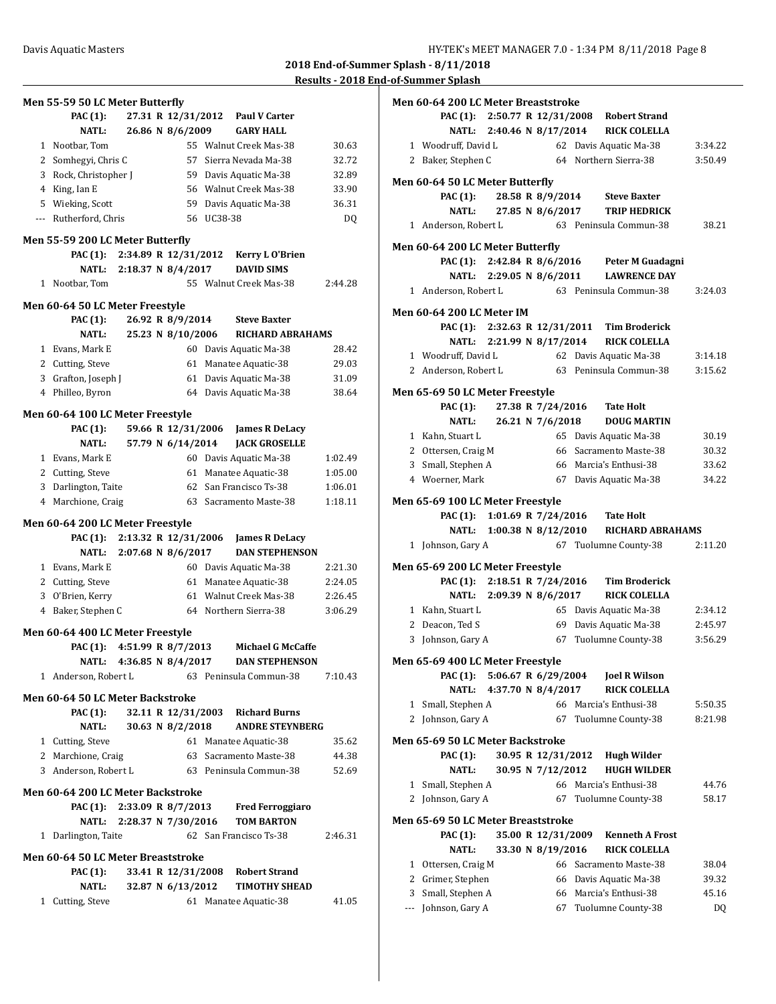|   | Men 55-59 50 LC Meter Butterfly          |                           |                    |            |                                  | . .     |
|---|------------------------------------------|---------------------------|--------------------|------------|----------------------------------|---------|
|   | PAC (1):                                 |                           | 27.31 R 12/31/2012 |            | <b>Paul V Carter</b>             |         |
|   | <b>NATL:</b>                             |                           | 26.86 N 8/6/2009   |            | <b>GARY HALL</b>                 |         |
|   | 1 Nootbar, Tom                           |                           |                    |            | 55 Walnut Creek Mas-38           | 30.63   |
|   | 2 Somhegyi, Chris C                      |                           | 57                 |            | Sierra Nevada Ma-38              | 32.72   |
|   | 3 Rock, Christopher J                    |                           |                    |            | 59 Davis Aquatic Ma-38           | 32.89   |
|   | 4 King, Ian E                            |                           |                    |            | 56 Walnut Creek Mas-38           | 33.90   |
|   | 5 Wieking, Scott                         |                           |                    |            | 59 Davis Aquatic Ma-38           | 36.31   |
|   | --- Rutherford, Chris                    |                           |                    | 56 UC38-38 |                                  | DQ      |
|   |                                          |                           |                    |            |                                  |         |
|   | Men 55-59 200 LC Meter Butterfly         |                           |                    |            |                                  |         |
|   | <b>PAC (1):</b>                          | 2:34.89 R 12/31/2012      |                    |            | <b>Kerry L O'Brien</b>           |         |
|   | NATL:                                    | 2:18.37 N 8/4/2017        |                    |            | <b>DAVID SIMS</b>                |         |
| 1 | Nootbar, Tom                             |                           |                    |            | 55 Walnut Creek Mas-38           | 2:44.28 |
|   | Men 60-64 50 LC Meter Freestyle          |                           |                    |            |                                  |         |
|   | PAC (1):                                 |                           | 26.92 R 8/9/2014   |            | <b>Steve Baxter</b>              |         |
|   | <b>NATL:</b>                             |                           | 25.23 N 8/10/2006  |            | <b>RICHARD ABRAHAMS</b>          |         |
|   | 1 Evans, Mark E                          |                           |                    |            | 60 Davis Aquatic Ma-38           | 28.42   |
|   | 2 Cutting, Steve                         |                           |                    |            | 61 Manatee Aquatic-38            | 29.03   |
|   | 3 Grafton, Joseph J                      |                           |                    |            | 61 Davis Aquatic Ma-38           | 31.09   |
|   | 4 Philleo, Byron                         |                           |                    |            | 64 Davis Aquatic Ma-38           | 38.64   |
|   |                                          |                           |                    |            |                                  |         |
|   | Men 60-64 100 LC Meter Freestyle         |                           |                    |            |                                  |         |
|   | PAC (1):                                 |                           | 59.66 R 12/31/2006 |            | <b>James R DeLacy</b>            |         |
|   | <b>NATL:</b>                             |                           | 57.79 N 6/14/2014  |            | <b>JACK GROSELLE</b>             |         |
|   | 1 Evans, Mark E                          |                           |                    |            | 60 Davis Aquatic Ma-38           | 1:02.49 |
|   | 2 Cutting, Steve                         |                           |                    |            | 61 Manatee Aquatic-38            | 1:05.00 |
|   | 3 Darlington, Taite                      |                           |                    |            | 62 San Francisco Ts-38           | 1:06.01 |
|   | 4 Marchione, Craig                       |                           |                    |            | 63 Sacramento Maste-38           | 1:18.11 |
|   | Men 60-64 200 LC Meter Freestyle         |                           |                    |            |                                  |         |
|   | PAC (1): 2:13.32 R 12/31/2006            |                           |                    |            | <b>James R DeLacy</b>            |         |
|   | <b>NATL:</b>                             | 2:07.68 N 8/6/2017        |                    |            | <b>DAN STEPHENSON</b>            |         |
|   | 1 Evans, Mark E                          |                           |                    |            | 60 Davis Aquatic Ma-38           | 2:21.30 |
|   | 2 Cutting, Steve                         |                           |                    |            | 61 Manatee Aquatic-38            | 2:24.05 |
|   | 3 O'Brien, Kerry                         |                           |                    |            | 61 Walnut Creek Mas-38           | 2:26.45 |
|   | 4 Baker, Stephen C                       |                           |                    |            | 64 Northern Sierra-38            | 3:06.29 |
|   |                                          |                           |                    |            |                                  |         |
|   | Men 60-64 400 LC Meter Freestyle         |                           |                    |            |                                  |         |
|   | <b>PAC</b> (1):                          | 4:51.99 R 8/7/2013        |                    |            | <b>Michael G McCaffe</b>         |         |
|   | NATL:                                    | 4:36.85 N 8/4/2017        |                    |            | <b>DAN STEPHENSON</b>            |         |
|   | 1 Anderson, Robert L                     |                           |                    |            | 63 Peninsula Commun-38           | 7:10.43 |
|   | <b>Men 60-64 50 LC Meter Backstroke</b>  |                           |                    |            |                                  |         |
|   | <b>PAC</b> (1):                          |                           |                    |            | 32.11 R 12/31/2003 Richard Burns |         |
|   | <b>NATL:</b>                             |                           | 30.63 N 8/2/2018   |            | <b>ANDRE STEYNBERG</b>           |         |
|   | 1 Cutting, Steve                         |                           |                    |            | 61 Manatee Aquatic-38            | 35.62   |
|   | 2 Marchione, Craig                       |                           |                    |            | 63 Sacramento Maste-38           | 44.38   |
|   | 3 Anderson, Robert L                     |                           |                    |            | 63 Peninsula Commun-38           | 52.69   |
|   |                                          |                           |                    |            |                                  |         |
|   | <b>Men 60-64 200 LC Meter Backstroke</b> |                           |                    |            |                                  |         |
|   | PAC (1): 2:33.09 R 8/7/2013              |                           |                    |            | <b>Fred Ferroggiaro</b>          |         |
|   |                                          | NATL: 2:28.37 N 7/30/2016 |                    |            | <b>TOM BARTON</b>                |         |
|   | 1 Darlington, Taite                      |                           |                    |            | 62 San Francisco Ts-38           | 2:46.31 |
|   | Men 60-64 50 LC Meter Breaststroke       |                           |                    |            |                                  |         |
|   | <b>PAC</b> (1):                          |                           |                    |            | 33.41 R 12/31/2008 Robert Strand |         |
|   | <b>NATL:</b>                             |                           | 32.87 N 6/13/2012  |            | <b>TIMOTHY SHEAD</b>             |         |
| 1 | Cutting, Steve                           |                           |                    |            | 61 Manatee Aquatic-38            | 41.05   |
|   |                                          |                           |                    |            |                                  |         |

|     | Men 60-64 200 LC Meter Breaststroke     |                       |                    |                                              |         |
|-----|-----------------------------------------|-----------------------|--------------------|----------------------------------------------|---------|
|     |                                         |                       |                    | PAC (1): 2:50.77 R 12/31/2008 Robert Strand  |         |
|     |                                         |                       |                    | NATL: 2:40.46 N 8/17/2014 RICK COLELLA       |         |
|     | 1 Woodruff, David L                     |                       |                    | 62 Davis Aquatic Ma-38                       | 3:34.22 |
|     | 2 Baker, Stephen C                      |                       |                    | 64 Northern Sierra-38                        | 3:50.49 |
|     |                                         |                       |                    |                                              |         |
|     | Men 60-64 50 LC Meter Butterfly         |                       |                    |                                              |         |
|     | <b>PAC (1):</b>                         | 28.58 R 8/9/2014      |                    | <b>Steve Baxter</b>                          |         |
|     |                                         |                       |                    | NATL: 27.85 N 8/6/2017 TRIP HEDRICK          |         |
|     | 1 Anderson, Robert L                    |                       |                    | 63 Peninsula Commun-38                       | 38.21   |
|     | Men 60-64 200 LC Meter Butterfly        |                       |                    |                                              |         |
|     |                                         |                       |                    | PAC (1): 2:42.84 R 8/6/2016 Peter M Guadagni |         |
|     |                                         |                       |                    | NATL: 2:29.05 N 8/6/2011 LAWRENCE DAY        |         |
|     |                                         |                       |                    |                                              |         |
|     | 1 Anderson, Robert L                    |                       |                    | 63 Peninsula Commun-38                       | 3:24.03 |
|     | Men 60-64 200 LC Meter IM               |                       |                    |                                              |         |
|     |                                         |                       |                    | PAC (1): 2:32.63 R 12/31/2011 Tim Broderick  |         |
|     |                                         |                       |                    | NATL: 2:21.99 N 8/17/2014 RICK COLELLA       |         |
|     | 1 Woodruff, David L                     |                       |                    | 62 Davis Aquatic Ma-38                       | 3:14.18 |
|     |                                         |                       |                    | 2 Anderson, Robert L 63 Peninsula Commun-38  | 3:15.62 |
|     |                                         |                       |                    |                                              |         |
|     | Men 65-69 50 LC Meter Freestyle         |                       |                    |                                              |         |
|     | PAC (1):                                |                       |                    | 27.38 R 7/24/2016 Tate Holt                  |         |
|     | <b>NATL:</b>                            |                       | 26.21 N 7/6/2018   | <b>DOUG MARTIN</b>                           |         |
|     | 1 Kahn, Stuart L                        |                       |                    | 65 Davis Aquatic Ma-38                       | 30.19   |
|     | 2 Ottersen, Craig M                     |                       |                    | 66 Sacramento Maste-38                       | 30.32   |
|     | 3 Small, Stephen A                      |                       |                    | 66 Marcia's Enthusi-38                       | 33.62   |
|     | 4 Woerner, Mark                         |                       |                    | 67 Davis Aquatic Ma-38                       | 34.22   |
|     |                                         |                       |                    |                                              |         |
|     | Men 65-69 100 LC Meter Freestyle        |                       |                    |                                              |         |
|     |                                         |                       |                    |                                              |         |
|     |                                         |                       |                    | PAC (1): 1:01.69 R 7/24/2016 Tate Holt       |         |
|     |                                         |                       |                    | NATL: 1:00.38 N 8/12/2010 RICHARD ABRAHAMS   |         |
|     | 1 Johnson, Gary A                       |                       |                    | 67 Tuolumne County-38                        | 2:11.20 |
|     |                                         |                       |                    |                                              |         |
|     | Men 65-69 200 LC Meter Freestyle        |                       |                    |                                              |         |
|     |                                         |                       |                    | PAC (1): 2:18.51 R 7/24/2016 Tim Broderick   |         |
|     |                                         |                       |                    | NATL: 2:09.39 N 8/6/2017 RICK COLELLA        |         |
|     | 1 Kahn, Stuart L                        |                       |                    | 65 Davis Aquatic Ma-38                       | 2:34.12 |
|     | 2 Deacon, Ted S                         |                       |                    | 69 Davis Aquatic Ma-38                       | 2:45.97 |
|     | 3 Johnson, Gary A                       |                       |                    | 67 Tuolumne County-38                        | 3:56.29 |
|     | <b>Men 65-69 400 LC Meter Freestyle</b> |                       |                    |                                              |         |
|     | <b>PAC (1):</b>                         | 5:06.67 R $6/29/2004$ |                    | <b>Joel R Wilson</b>                         |         |
|     | <b>NATL:</b>                            | 4:37.70 N 8/4/2017    |                    | <b>RICK COLELLA</b>                          |         |
| 1   |                                         |                       |                    |                                              | 5:50.35 |
| 2   | Small, Stephen A                        |                       | 67                 | 66 Marcia's Enthusi-38                       |         |
|     | Johnson, Gary A                         |                       |                    | Tuolumne County-38                           | 8:21.98 |
|     | Men 65-69 50 LC Meter Backstroke        |                       |                    |                                              |         |
|     | PAC (1):                                |                       | 30.95 R 12/31/2012 | <b>Hugh Wilder</b>                           |         |
|     | <b>NATL:</b>                            |                       | 30.95 N 7/12/2012  | <b>HUGH WILDER</b>                           |         |
| 1   | Small, Stephen A                        |                       |                    | 66 Marcia's Enthusi-38                       | 44.76   |
| 2   | Johnson, Gary A                         |                       | 67                 | Tuolumne County-38                           | 58.17   |
|     |                                         |                       |                    |                                              |         |
|     | Men 65-69 50 LC Meter Breaststroke      |                       |                    |                                              |         |
|     | PAC (1):                                |                       | 35.00 R 12/31/2009 | <b>Kenneth A Frost</b>                       |         |
|     | <b>NATL:</b>                            |                       | 33.30 N 8/19/2016  | <b>RICK COLELLA</b>                          |         |
| 1   | Ottersen, Craig M                       |                       | 66                 | Sacramento Maste-38                          | 38.04   |
| 2   | Grimer, Stephen                         |                       | 66                 | Davis Aquatic Ma-38                          | 39.32   |
| 3   | Small, Stephen A                        |                       | 66                 | Marcia's Enthusi-38                          | 45.16   |
| --- | Johnson, Gary A                         |                       | 67                 | Tuolumne County-38                           | DQ      |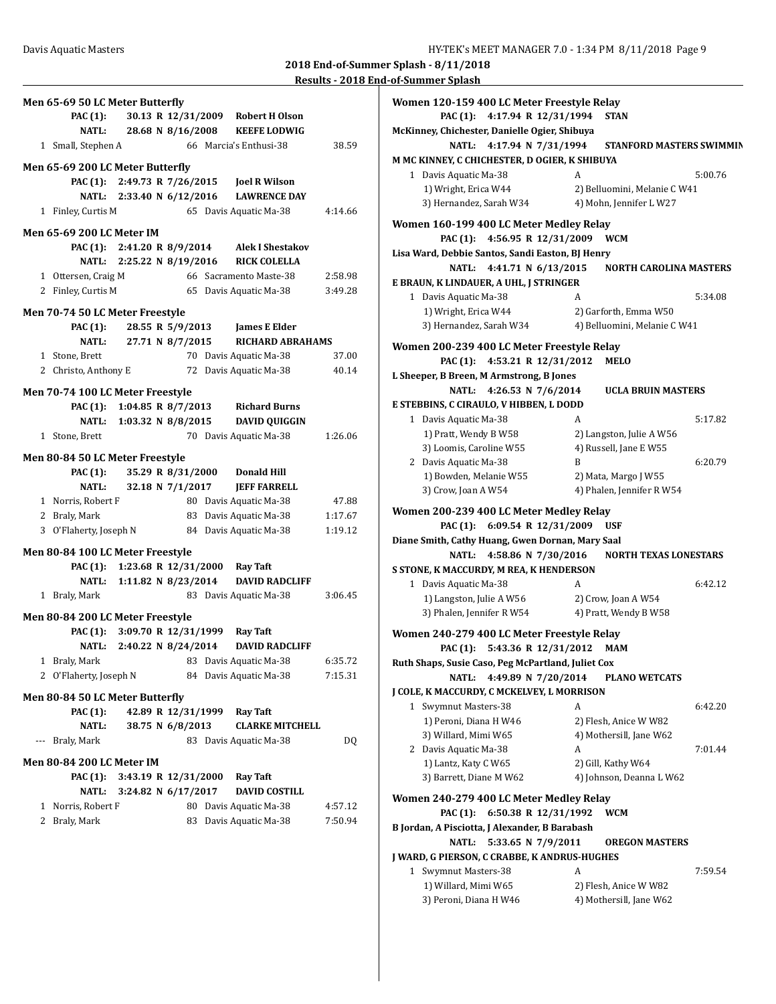**Results - 2018 End-of-Summer Splash**

| Men 65-69 50 LC Meter Butterfly  |                                        |                      |                                              |         |
|----------------------------------|----------------------------------------|----------------------|----------------------------------------------|---------|
| <b>PAC (1):</b>                  |                                        |                      | 30.13 R 12/31/2009 Robert H Olson            |         |
|                                  |                                        |                      | NATL: 28.68 N 8/16/2008 KEEFE LODWIG         |         |
| 1 Small, Stephen A               |                                        |                      | 66 Marcia's Enthusi-38                       | 38.59   |
|                                  |                                        |                      |                                              |         |
| Men 65-69 200 LC Meter Butterfly |                                        |                      |                                              |         |
|                                  |                                        |                      | PAC (1): 2:49.73 R 7/26/2015 Joel R Wilson   |         |
|                                  | NATL: 2:33.40 N 6/12/2016              |                      | <b>LAWRENCE DAY</b>                          |         |
| 1 Finley, Curtis M               |                                        |                      | 65 Davis Aquatic Ma-38                       | 4:14.66 |
| <b>Men 65-69 200 LC Meter IM</b> |                                        |                      |                                              |         |
|                                  |                                        |                      | PAC (1): 2:41.20 R 8/9/2014 Alek I Shestakov |         |
|                                  |                                        |                      | NATL: 2:25.22 N 8/19/2016 RICK COLELLA       |         |
| 1 Ottersen, Craig M              |                                        |                      | 66 Sacramento Maste-38                       | 2:58.98 |
| 2 Finley, Curtis M               |                                        |                      | 65 Davis Aquatic Ma-38                       | 3:49.28 |
|                                  |                                        |                      |                                              |         |
| Men 70-74 50 LC Meter Freestyle  |                                        |                      |                                              |         |
| <b>PAC</b> (1):                  | 28.55 R 5/9/2013                       |                      | <b>James E Elder</b>                         |         |
|                                  | NATL: 27.71 N 8/7/2015                 |                      | RICHARD ABRAHAMS                             |         |
| 1 Stone, Brett                   |                                        |                      | 70 Davis Aquatic Ma-38                       | 37.00   |
| 2 Christo, Anthony E             |                                        |                      | 72 Davis Aquatic Ma-38                       | 40.14   |
| Men 70-74 100 LC Meter Freestyle |                                        |                      |                                              |         |
|                                  | PAC (1): 1:04.85 R 8/7/2013            |                      | <b>Richard Burns</b>                         |         |
|                                  | NATL: 1:03.32 N 8/8/2015               |                      | <b>DAVID QUIGGIN</b>                         |         |
| 1 Stone, Brett                   |                                        |                      | 70 Davis Aquatic Ma-38                       | 1:26.06 |
|                                  |                                        |                      |                                              |         |
| Men 80-84 50 LC Meter Freestyle  |                                        |                      |                                              |         |
| <b>PAC (1):</b>                  |                                        |                      | 35.29 R 8/31/2000 Donald Hill                |         |
| <b>NATL:</b>                     |                                        |                      | 32.18 N 7/1/2017 JEFF FARRELL                |         |
| 1 Norris, Robert F               |                                        |                      | 80 Davis Aquatic Ma-38                       | 47.88   |
| 2 Braly, Mark                    |                                        |                      | 83 Davis Aquatic Ma-38                       | 1:17.67 |
| 3 O'Flaherty, Joseph N           |                                        |                      | 84 Davis Aquatic Ma-38                       | 1:19.12 |
| Men 80-84 100 LC Meter Freestyle |                                        |                      |                                              |         |
|                                  | PAC (1): 1:23.68 R 12/31/2000 Ray Taft |                      |                                              |         |
|                                  | NATL: 1:11.82 N 8/23/2014              |                      | <b>DAVID RADCLIFF</b>                        |         |
| 1 Braly, Mark                    |                                        |                      | 83 Davis Aquatic Ma-38                       | 3:06.45 |
|                                  |                                        |                      |                                              |         |
| Men 80-84 200 LC Meter Freestyle |                                        |                      |                                              |         |
|                                  | PAC (1): 3:09.70 R 12/31/1999          |                      | <b>Ray Taft</b>                              |         |
|                                  | NATL: 2:40.22 N 8/24/2014              |                      | <b>DAVID RADCLIFF</b>                        |         |
| 1 Braly, Mark                    |                                        |                      | 83 Davis Aquatic Ma-38                       | 6:35.72 |
| 2 O'Flaherty, Joseph N           |                                        |                      | 84 Davis Aquatic Ma-38                       | 7:15.31 |
| Men 80-84 50 LC Meter Butterfly  |                                        |                      |                                              |         |
| PAC (1):                         |                                        |                      |                                              |         |
| NATL:                            |                                        |                      |                                              |         |
|                                  |                                        | 42.89 R 12/31/1999   | <b>Ray Taft</b>                              |         |
|                                  |                                        | 38.75 N 6/8/2013     | <b>CLARKE MITCHELL</b>                       |         |
| Braly, Mark<br>$\cdots$          |                                        |                      | 83 Davis Aquatic Ma-38                       | DQ      |
| <b>Men 80-84 200 LC Meter IM</b> |                                        |                      |                                              |         |
| PAC (1):                         |                                        | 3:43.19 R 12/31/2000 | Ray Taft                                     |         |
| <b>NATL:</b>                     |                                        | 3:24.82 N 6/17/2017  | <b>DAVID COSTILL</b>                         |         |
| 1 Norris, Robert F               |                                        |                      | 80 Davis Aquatic Ma-38                       | 4:57.12 |
| 2 Braly, Mark                    |                                        | 83                   | Davis Aquatic Ma-38                          | 7:50.94 |
|                                  |                                        |                      |                                              |         |
|                                  |                                        |                      |                                              |         |

| Women 120-159 400 LC Meter Freestyle Relay         |                                 |
|----------------------------------------------------|---------------------------------|
| PAC (1): 4:17.94 R 12/31/1994                      | <b>STAN</b>                     |
| McKinney, Chichester, Danielle Ogier, Shibuya      |                                 |
| 4:17.94 N 7/31/1994<br>NATL:                       | <b>STANFORD MASTERS SWIMMIN</b> |
| M MC KINNEY, C CHICHESTER, D OGIER, K SHIBUYA      |                                 |
| 1 Davis Aquatic Ma-38                              | 5:00.76<br>A                    |
| 1) Wright, Erica W44                               | 2) Belluomini, Melanie C W41    |
| 3) Hernandez, Sarah W34                            | 4) Mohn, Jennifer L W27         |
| Women 160-199 400 LC Meter Medley Relay            |                                 |
| PAC (1): 4:56.95 R 12/31/2009                      | <b>WCM</b>                      |
| Lisa Ward, Debbie Santos, Sandi Easton, BJ Henry   |                                 |
| NATL: 4:41.71 N 6/13/2015                          | <b>NORTH CAROLINA MASTERS</b>   |
| E BRAUN, K LINDAUER, A UHL, J STRINGER             |                                 |
| 1 Davis Aquatic Ma-38                              | 5:34.08<br>A                    |
| 1) Wright, Erica W44                               | 2) Garforth, Emma W50           |
| 3) Hernandez, Sarah W34                            | 4) Belluomini, Melanie C W41    |
|                                                    |                                 |
| Women 200-239 400 LC Meter Freestyle Relay         |                                 |
| PAC (1): 4:53.21 R 12/31/2012                      | MELO                            |
| L Sheeper, B Breen, M Armstrong, B Jones           |                                 |
| NATL: 4:26.53 N 7/6/2014                           | <b>UCLA BRUIN MASTERS</b>       |
| E STEBBINS, C CIRAULO, V HIBBEN, L DODD            |                                 |
| 1 Davis Aquatic Ma-38                              | 5:17.82<br>A                    |
| 1) Pratt, Wendy B W58                              | 2) Langston, Julie A W56        |
| 3) Loomis, Caroline W55                            | 4) Russell, Jane E W55          |
| 2 Davis Aquatic Ma-38                              | 6:20.79<br>B                    |
| 1) Bowden, Melanie W55                             | 2) Mata, Margo J W55            |
| 3) Crow, Joan A W54                                | 4) Phalen, Jennifer R W54       |
| Women 200-239 400 LC Meter Medley Relay            |                                 |
| PAC (1): 6:09.54 R 12/31/2009                      | USF                             |
| Diane Smith, Cathy Huang, Gwen Dornan, Mary Saal   |                                 |
| 4:58.86 N 7/30/2016<br>NATL:                       | <b>NORTH TEXAS LONESTARS</b>    |
| S STONE, K MACCURDY, M REA, K HENDERSON            |                                 |
| 1 Davis Aquatic Ma-38                              | A<br>6:42.12                    |
| 1) Langston, Julie A W56                           | 2) Crow, Joan A W54             |
| 3) Phalen, Jennifer R W54                          | 4) Pratt, Wendy B W58           |
| Women 240-279 400 LC Meter Freestyle Relay         |                                 |
| PAC (1): 5:43.36 R 12/31/2012 MAM                  |                                 |
| Ruth Shaps, Susie Caso, Peg McPartland, Juliet Cox |                                 |
| <b>NATL:</b><br>4:49.89 N 7/20/2014                | <b>PLANO WETCATS</b>            |
| J COLE, K MACCURDY, C MCKELVEY, L MORRISON         |                                 |
| 1 Swymnut Masters-38                               | A<br>6:42.20                    |
| 1) Peroni, Diana H W46                             | 2) Flesh, Anice W W82           |
| 3) Willard, Mimi W65                               | 4) Mothersill, Jane W62         |
| 2 Davis Aquatic Ma-38                              | 7:01.44<br>A                    |
| 1) Lantz, Katy C W65                               | 2) Gill, Kathy W64              |
| 3) Barrett, Diane M W62                            | 4) Johnson, Deanna L W62        |
|                                                    |                                 |
| Women 240-279 400 LC Meter Medley Relay            |                                 |
| PAC (1): 6:50.38 R 12/31/1992                      | <b>WCM</b>                      |
| B Jordan, A Pisciotta, J Alexander, B Barabash     |                                 |
| 5:33.65 N 7/9/2011<br><b>NATL:</b>                 | <b>OREGON MASTERS</b>           |
| J WARD, G PIERSON, C CRABBE, K ANDRUS-HUGHES       |                                 |
| 1 Swymnut Masters-38                               | 7:59.54<br>A                    |
| 1) Willard, Mimi W65                               | 2) Flesh, Anice W W82           |
| 3) Peroni, Diana H W46                             | 4) Mothersill, Jane W62         |
|                                                    |                                 |